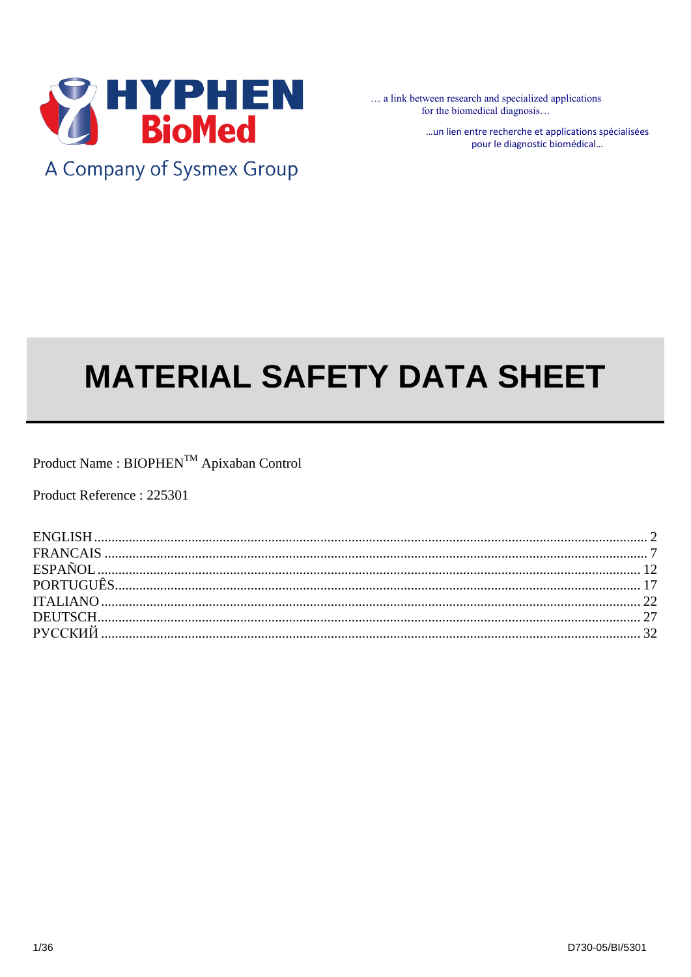

A Company of Sysmex Group

... a link between research and specialized applications for the biomedical diagnosis...

> ... un lien entre recherche et applications spécialisées pour le diagnostic biomédical...

# **MATERIAL SAFETY DATA SHEET**

 $\mathsf{Product\ Name}: \mathsf{BIOPHEN}^{\mathsf{TM}}$ Apixaban Control

Product Reference: 225301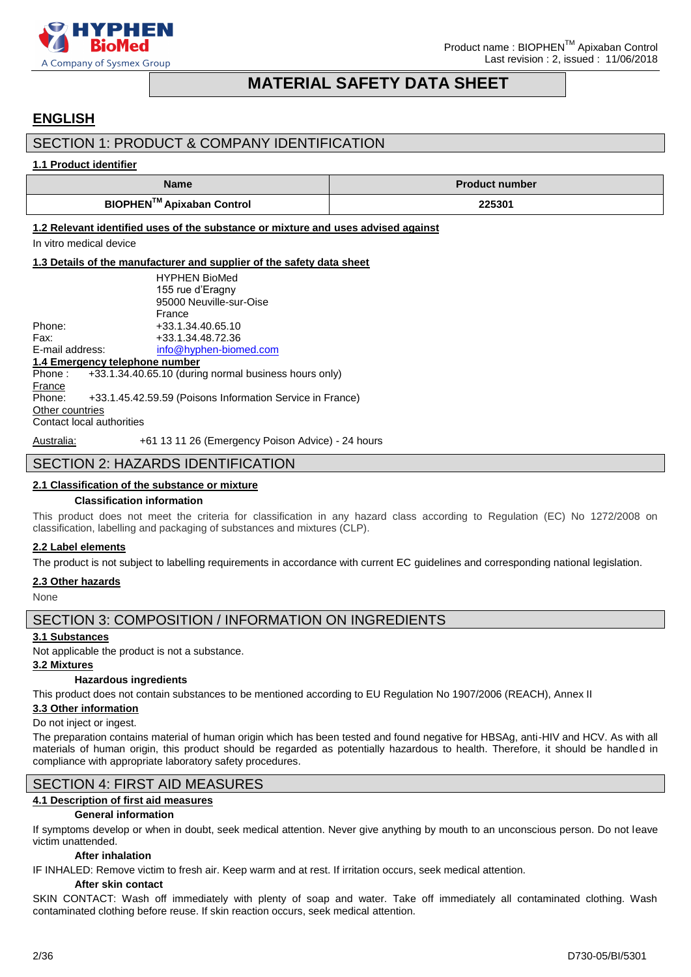

### **MATERIAL SAFETY DATA SHEET**

### <span id="page-1-0"></span>**ENGLISH**

### SECTION 1: PRODUCT & COMPANY IDENTIFICATION

### **1.1 Product identifier**

| <b>Name</b>               | <b>Product number</b> |  |
|---------------------------|-----------------------|--|
| BIOPHEN™ Apixaban Control | 225301                |  |

**1.2 Relevant identified uses of the substance or mixture and uses advised against**

In vitro medical device

### **1.3 Details of the manufacturer and supplier of the safety data sheet**

|                                | <b>HYPHEN BioMed</b>                                           |
|--------------------------------|----------------------------------------------------------------|
|                                | 155 rue d'Eragny                                               |
|                                | 95000 Neuville-sur-Oise                                        |
|                                | France                                                         |
| Phone:                         | +33.1.34.40.65.10                                              |
| Fax:                           | +33.1.34.48.72.36                                              |
| E-mail address:                | info@hyphen-biomed.com                                         |
| 1.4 Emergency telephone number |                                                                |
|                                | Phone: $+33.1.34.40.65.10$ (during normal business hours only) |
| France                         |                                                                |
| Phone:                         | +33.1.45.42.59.59 (Poisons Information Service in France)      |
| Other countries                |                                                                |
| Contact local authorities      |                                                                |
|                                |                                                                |

Australia: +61 13 11 26 (Emergency Poison Advice) - 24 hours

### SECTION 2: HAZARDS IDENTIFICATION

### **2.1 Classification of the substance or mixture**

### **Classification information**

This product does not meet the criteria for classification in any hazard class according to Regulation (EC) No 1272/2008 on classification, labelling and packaging of substances and mixtures (CLP).

### **2.2 Label elements**

The product is not subject to labelling requirements in accordance with current EC guidelines and corresponding national legislation.

### **2.3 Other hazards**

None

### SECTION 3: COMPOSITION / INFORMATION ON INGREDIENTS

### **3.1 Substances**

Not applicable the product is not a substance.

### **3.2 Mixtures**

### **Hazardous ingredients**

This product does not contain substances to be mentioned according to EU Regulation No 1907/2006 (REACH), Annex II

### **3.3 Other information**

### Do not inject or ingest.

The preparation contains material of human origin which has been tested and found negative for HBSAg, anti-HIV and HCV. As with all materials of human origin, this product should be regarded as potentially hazardous to health. Therefore, it should be handled in compliance with appropriate laboratory safety procedures.

### SECTION 4: FIRST AID MEASURES

### **4.1 Description of first aid measures**

### **General information**

If symptoms develop or when in doubt, seek medical attention. Never give anything by mouth to an unconscious person. Do not leave victim unattended.

### **After inhalation**

IF INHALED: Remove victim to fresh air. Keep warm and at rest. If irritation occurs, seek medical attention.

### **After skin contact**

SKIN CONTACT: Wash off immediately with plenty of soap and water. Take off immediately all contaminated clothing. Wash contaminated clothing before reuse. If skin reaction occurs, seek medical attention.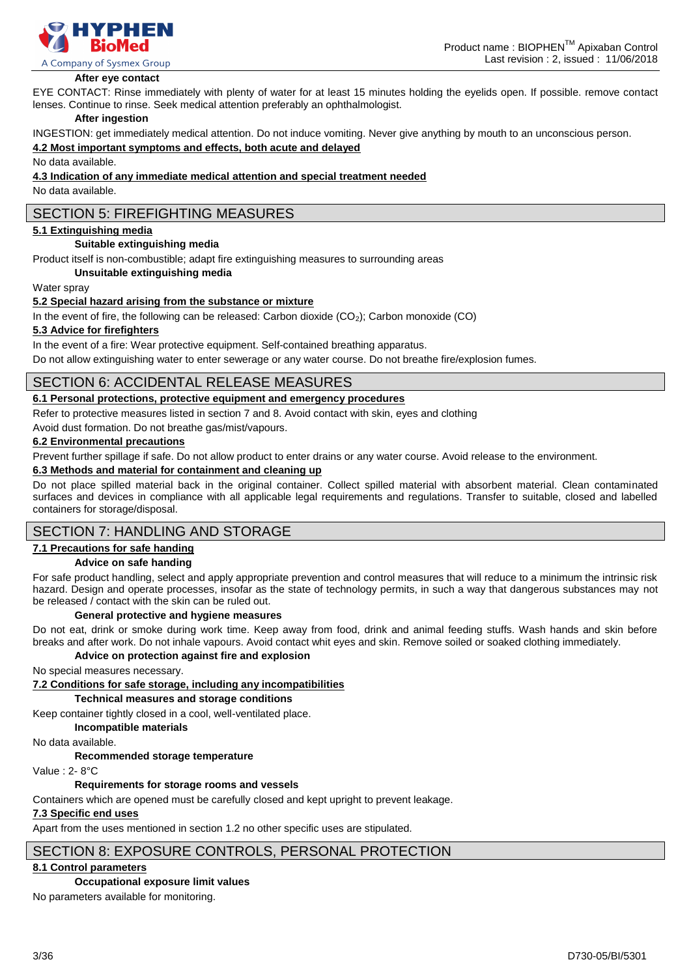

#### **After eye contact**

EYE CONTACT: Rinse immediately with plenty of water for at least 15 minutes holding the eyelids open. If possible. remove contact lenses. Continue to rinse. Seek medical attention preferably an ophthalmologist.

#### **After ingestion**

INGESTION: get immediately medical attention. Do not induce vomiting. Never give anything by mouth to an unconscious person.

#### **4.2 Most important symptoms and effects, both acute and delayed**

No data available.

#### **4.3 Indication of any immediate medical attention and special treatment needed**

No data available.

### SECTION 5: FIREFIGHTING MEASURES

### **5.1 Extinguishing media**

#### **Suitable extinguishing media**

Product itself is non-combustible; adapt fire extinguishing measures to surrounding areas

**Unsuitable extinguishing media**

### Water spray

### **5.2 Special hazard arising from the substance or mixture**

In the event of fire, the following can be released: Carbon dioxide  $(CO<sub>2</sub>)$ ; Carbon monoxide  $(CO)$ 

### **5.3 Advice for firefighters**

In the event of a fire: Wear protective equipment. Self-contained breathing apparatus.

Do not allow extinguishing water to enter sewerage or any water course. Do not breathe fire/explosion fumes.

### SECTION 6: ACCIDENTAL RELEASE MEASURES

### **6.1 Personal protections, protective equipment and emergency procedures**

Refer to protective measures listed in section 7 and 8. Avoid contact with skin, eyes and clothing

Avoid dust formation. Do not breathe gas/mist/vapours.

#### **6.2 Environmental precautions**

Prevent further spillage if safe. Do not allow product to enter drains or any water course. Avoid release to the environment.

### **6.3 Methods and material for containment and cleaning up**

Do not place spilled material back in the original container. Collect spilled material with absorbent material. Clean contaminated surfaces and devices in compliance with all applicable legal requirements and regulations. Transfer to suitable, closed and labelled containers for storage/disposal.

### SECTION 7: HANDLING AND STORAGE

### **7.1 Precautions for safe handing**

### **Advice on safe handing**

For safe product handling, select and apply appropriate prevention and control measures that will reduce to a minimum the intrinsic risk hazard. Design and operate processes, insofar as the state of technology permits, in such a way that dangerous substances may not be released / contact with the skin can be ruled out.

#### **General protective and hygiene measures**

Do not eat, drink or smoke during work time. Keep away from food, drink and animal feeding stuffs. Wash hands and skin before breaks and after work. Do not inhale vapours. Avoid contact whit eyes and skin. Remove soiled or soaked clothing immediately.

### **Advice on protection against fire and explosion**

No special measures necessary.

**7.2 Conditions for safe storage, including any incompatibilities**

#### **Technical measures and storage conditions**

Keep container tightly closed in a cool, well-ventilated place.

**Incompatible materials**

No data available.

**Recommended storage temperature**

Value : 2- 8°C

### **Requirements for storage rooms and vessels**

Containers which are opened must be carefully closed and kept upright to prevent leakage.

### **7.3 Specific end uses**

Apart from the uses mentioned in section 1.2 no other specific uses are stipulated.

### SECTION 8: EXPOSURE CONTROLS, PERSONAL PROTECTION

### **8.1 Control parameters**

#### **Occupational exposure limit values**

No parameters available for monitoring.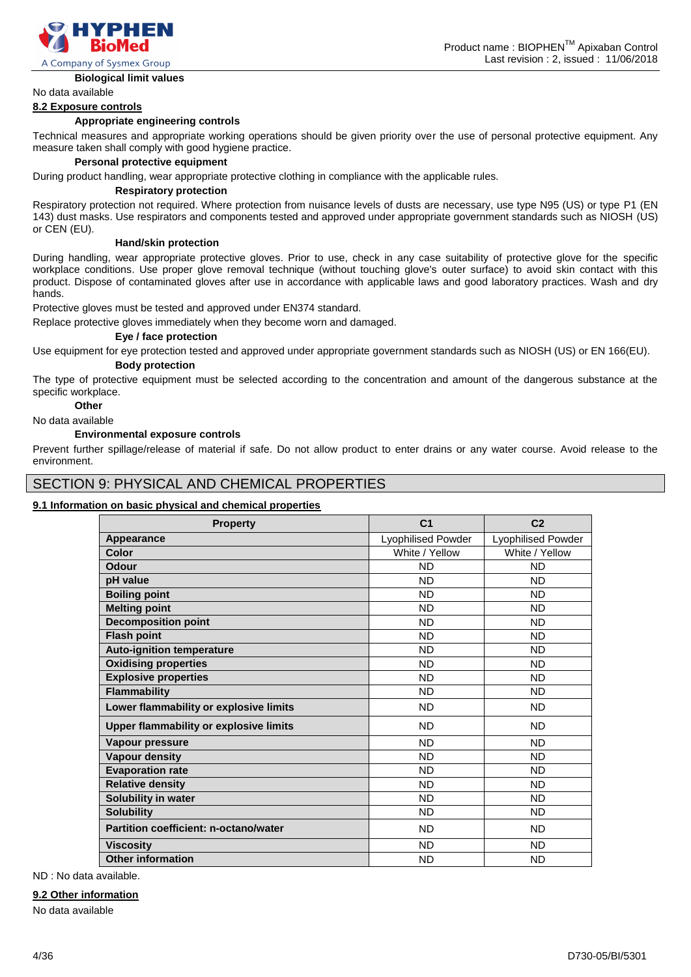

### **Biological limit values**

#### **8.2 Exposure controls**

#### **Appropriate engineering controls**

Technical measures and appropriate working operations should be given priority over the use of personal protective equipment. Any measure taken shall comply with good hygiene practice.

### **Personal protective equipment**

During product handling, wear appropriate protective clothing in compliance with the applicable rules.

#### **Respiratory protection**

Respiratory protection not required. Where protection from nuisance levels of dusts are necessary, use type N95 (US) or type P1 (EN 143) dust masks. Use respirators and components tested and approved under appropriate government standards such as NIOSH (US) or CEN (EU).

#### **Hand/skin protection**

During handling, wear appropriate protective gloves. Prior to use, check in any case suitability of protective glove for the specific workplace conditions. Use proper glove removal technique (without touching glove's outer surface) to avoid skin contact with this product. Dispose of contaminated gloves after use in accordance with applicable laws and good laboratory practices. Wash and dry hands.

Protective gloves must be tested and approved under EN374 standard.

Replace protective gloves immediately when they become worn and damaged.

#### **Eye / face protection**

Use equipment for eye protection tested and approved under appropriate government standards such as NIOSH (US) or EN 166(EU). **Body protection**

The type of protective equipment must be selected according to the concentration and amount of the dangerous substance at the specific workplace.

### **Other**

### No data available

#### **Environmental exposure controls**

Prevent further spillage/release of material if safe. Do not allow product to enter drains or any water course. Avoid release to the environment.

### SECTION 9: PHYSICAL AND CHEMICAL PROPERTIES

### **9.1 Information on basic physical and chemical properties**

| <b>Property</b>                              | C <sub>1</sub>            | C <sub>2</sub>            |
|----------------------------------------------|---------------------------|---------------------------|
| Appearance                                   | <b>Lyophilised Powder</b> | <b>Lyophilised Powder</b> |
| Color                                        | White / Yellow            | White / Yellow            |
| Odour                                        | <b>ND</b>                 | <b>ND</b>                 |
| pH value                                     | <b>ND</b>                 | <b>ND</b>                 |
| <b>Boiling point</b>                         | <b>ND</b>                 | <b>ND</b>                 |
| <b>Melting point</b>                         | <b>ND</b>                 | <b>ND</b>                 |
| <b>Decomposition point</b>                   | <b>ND</b>                 | <b>ND</b>                 |
| <b>Flash point</b>                           | <b>ND</b>                 | <b>ND</b>                 |
| <b>Auto-ignition temperature</b>             | <b>ND</b>                 | <b>ND</b>                 |
| <b>Oxidising properties</b>                  | <b>ND</b>                 | <b>ND</b>                 |
| <b>Explosive properties</b>                  | <b>ND</b>                 | <b>ND</b>                 |
| <b>Flammability</b>                          | <b>ND</b>                 | <b>ND</b>                 |
| Lower flammability or explosive limits       | <b>ND</b>                 | <b>ND</b>                 |
| Upper flammability or explosive limits       | <b>ND</b>                 | <b>ND</b>                 |
| Vapour pressure                              | <b>ND</b>                 | <b>ND</b>                 |
| <b>Vapour density</b>                        | <b>ND</b>                 | <b>ND</b>                 |
| <b>Evaporation rate</b>                      | <b>ND</b>                 | <b>ND</b>                 |
| <b>Relative density</b>                      | <b>ND</b>                 | <b>ND</b>                 |
| Solubility in water                          | <b>ND</b>                 | <b>ND</b>                 |
| <b>Solubility</b>                            | <b>ND</b>                 | <b>ND</b>                 |
| <b>Partition coefficient: n-octano/water</b> | <b>ND</b>                 | <b>ND</b>                 |
| <b>Viscosity</b>                             | <b>ND</b>                 | <b>ND</b>                 |
| <b>Other information</b>                     | <b>ND</b>                 | <b>ND</b>                 |

ND : No data available.

#### **9.2 Other information**

No data available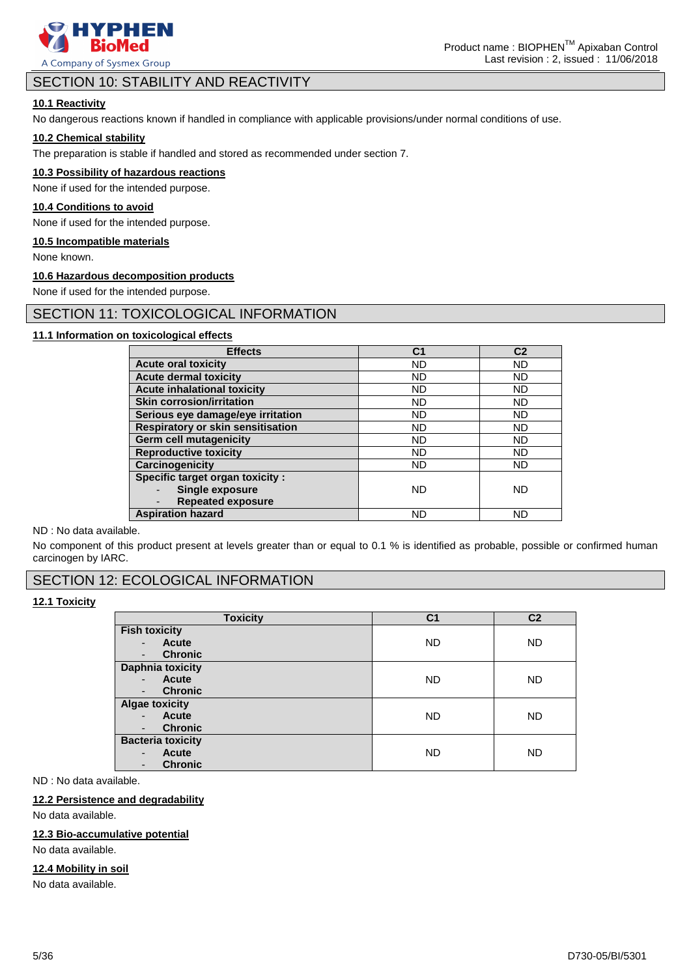

### SECTION 10: STABILITY AND REACTIVITY

### **10.1 Reactivity**

No dangerous reactions known if handled in compliance with applicable provisions/under normal conditions of use.

### **10.2 Chemical stability**

The preparation is stable if handled and stored as recommended under section 7.

### **10.3 Possibility of hazardous reactions**

None if used for the intended purpose.

### **10.4 Conditions to avoid**

None if used for the intended purpose.

#### **10.5 Incompatible materials**

None known.

### **10.6 Hazardous decomposition products**

None if used for the intended purpose.

### SECTION 11: TOXICOLOGICAL INFORMATION

### **11.1 Information on toxicological effects**

| <b>Effects</b>                                       | C1        | C <sub>2</sub> |
|------------------------------------------------------|-----------|----------------|
| <b>Acute oral toxicity</b>                           | <b>ND</b> | <b>ND</b>      |
| <b>Acute dermal toxicity</b>                         | <b>ND</b> | <b>ND</b>      |
| <b>Acute inhalational toxicity</b>                   | <b>ND</b> | <b>ND</b>      |
| <b>Skin corrosion/irritation</b>                     | <b>ND</b> | <b>ND</b>      |
| Serious eye damage/eye irritation                    | <b>ND</b> | <b>ND</b>      |
| <b>Respiratory or skin sensitisation</b>             | <b>ND</b> | <b>ND</b>      |
| <b>Germ cell mutagenicity</b>                        | <b>ND</b> | <b>ND</b>      |
| <b>Reproductive toxicity</b>                         | <b>ND</b> | <b>ND</b>      |
| <b>Carcinogenicity</b>                               | <b>ND</b> | <b>ND</b>      |
| Specific target organ toxicity :                     |           |                |
| <b>Single exposure</b>                               | <b>ND</b> | ND             |
| <b>Repeated exposure</b><br>$\overline{\phantom{0}}$ |           |                |
| <b>Aspiration hazard</b>                             | <b>ND</b> | ND             |

#### ND : No data available.

No component of this product present at levels greater than or equal to 0.1 % is identified as probable, possible or confirmed human carcinogen by IARC.

### SECTION 12: ECOLOGICAL INFORMATION

### **12.1 Toxicity**

| <b>Toxicity</b>                   | C <sub>1</sub> | C <sub>2</sub> |
|-----------------------------------|----------------|----------------|
| <b>Fish toxicity</b>              |                |                |
| Acute                             | <b>ND</b>      | <b>ND</b>      |
| <b>Chronic</b><br>-               |                |                |
| <b>Daphnia toxicity</b>           |                |                |
| <b>Acute</b>                      | <b>ND</b>      | <b>ND</b>      |
| <b>Chronic</b>                    |                |                |
| <b>Algae toxicity</b>             |                |                |
| Acute<br>$\overline{\phantom{0}}$ | <b>ND</b>      | <b>ND</b>      |
| <b>Chronic</b>                    |                |                |
| <b>Bacteria toxicity</b>          |                |                |
| <b>Acute</b><br>-                 | <b>ND</b>      | <b>ND</b>      |
| <b>Chronic</b>                    |                |                |

ND : No data available.

### **12.2 Persistence and degradability**

No data available.

### **12.3 Bio-accumulative potential**

No data available.

### **12.4 Mobility in soil**

No data available.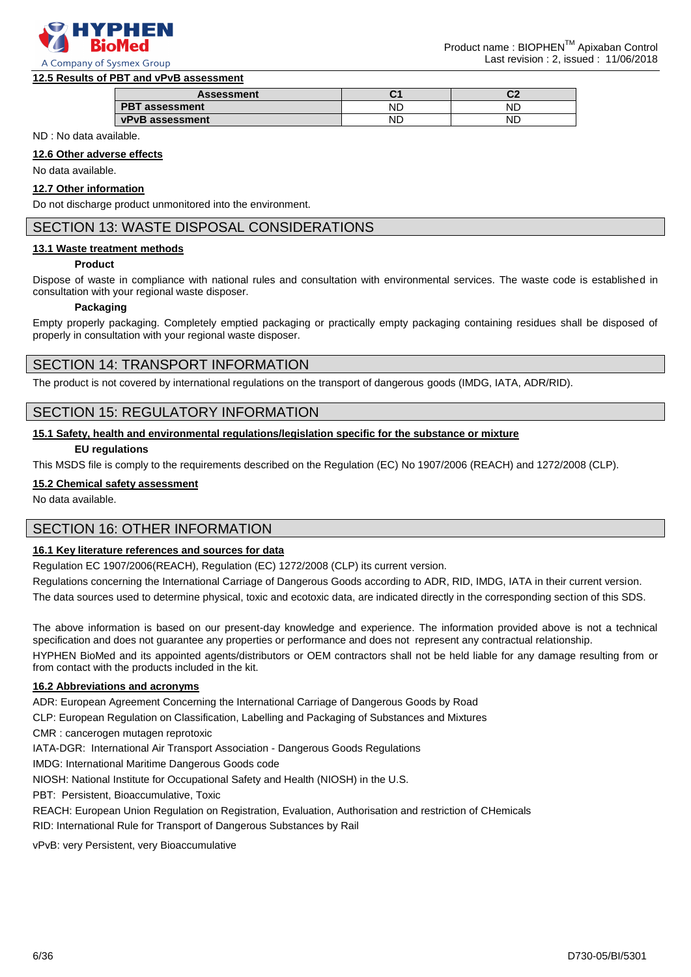

### **12.5 Results of PBT and vPvB assessment**

| <b>Assessment</b>        | ч. | r.<br>u |
|--------------------------|----|---------|
| <b>PBT</b><br>assessment | NĽ | NL.     |
| vPvB assessment          | NL | NL.     |

ND : No data available.

**12.6 Other adverse effects**

No data available.

### **12.7 Other information**

Do not discharge product unmonitored into the environment.

### SECTION 13: WASTE DISPOSAL CONSIDERATIONS

### **13.1 Waste treatment methods**

### **Product**

Dispose of waste in compliance with national rules and consultation with environmental services. The waste code is established in consultation with your regional waste disposer.

#### **Packaging**

Empty properly packaging. Completely emptied packaging or practically empty packaging containing residues shall be disposed of properly in consultation with your regional waste disposer.

### SECTION 14: TRANSPORT INFORMATION

The product is not covered by international regulations on the transport of dangerous goods (IMDG, IATA, ADR/RID).

### SECTION 15: REGULATORY INFORMATION

### **15.1 Safety, health and environmental regulations/legislation specific for the substance or mixture**

### **EU regulations**

This MSDS file is comply to the requirements described on the Regulation (EC) No 1907/2006 (REACH) and 1272/2008 (CLP).

### **15.2 Chemical safety assessment**

No data available.

### SECTION 16: OTHER INFORMATION

### **16.1 Key literature references and sources for data**

Regulation EC 1907/2006(REACH), Regulation (EC) 1272/2008 (CLP) its current version.

Regulations concerning the International Carriage of Dangerous Goods according to ADR, RID, IMDG, IATA in their current version.

The data sources used to determine physical, toxic and ecotoxic data, are indicated directly in the corresponding section of this SDS.

The above information is based on our present-day knowledge and experience. The information provided above is not a technical specification and does not guarantee any properties or performance and does not represent any contractual relationship.

HYPHEN BioMed and its appointed agents/distributors or OEM contractors shall not be held liable for any damage resulting from or from contact with the products included in the kit.

### **16.2 Abbreviations and acronyms**

ADR: European Agreement Concerning the International Carriage of Dangerous Goods by Road

CLP: European Regulation on Classification, Labelling and Packaging of Substances and Mixtures

CMR : cancerogen mutagen reprotoxic

IATA-DGR: International Air Transport Association - Dangerous Goods Regulations

IMDG: International Maritime Dangerous Goods code

NIOSH: National Institute for Occupational Safety and Health (NIOSH) in the U.S.

PBT: Persistent, Bioaccumulative, Toxic

REACH: European Union Regulation on Registration, Evaluation, Authorisation and restriction of CHemicals

RID: International Rule for Transport of Dangerous Substances by Rail

vPvB: very Persistent, very Bioaccumulative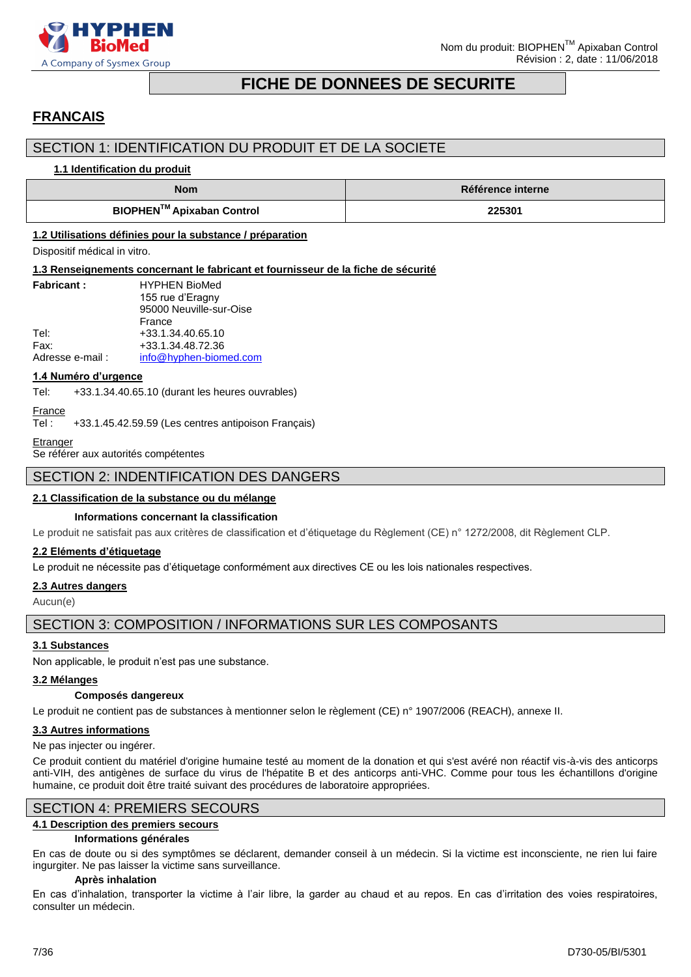

### **FICHE DE DONNEES DE SECURITE**

### <span id="page-6-0"></span>**FRANCAIS**

### SECTION 1: IDENTIFICATION DU PRODUIT ET DE LA SOCIETE

### **1.1 Identification du produit**

| <b>Nom</b>                | <b>Référence interne</b> |  |
|---------------------------|--------------------------|--|
| BIOPHEN™ Apixaban Control | 225301                   |  |

### **1.2 Utilisations définies pour la substance / préparation**

Dispositif médical in vitro.

### **1.3 Renseignements concernant le fabricant et fournisseur de la fiche de sécurité**

| <b>Fabricant:</b> | <b>HYPHEN BioMed</b>    |
|-------------------|-------------------------|
|                   | 155 rue d'Eragny        |
|                   | 95000 Neuville-sur-Oise |
|                   | France                  |
| Tel:              | +33.1.34.40.65.10       |
| Fax:              | +33.1.34.48.72.36       |
| Adresse e-mail:   | info@hyphen-biomed.com  |

### **1.4 Numéro d'urgence**

Tel: +33.1.34.40.65.10 (durant les heures ouvrables)

### **France**

Tel : +33.1.45.42.59.59 (Les centres antipoison Français)

#### **Etranger**

Se référer aux autorités compétentes

### SECTION 2: INDENTIFICATION DES DANGERS

### **2.1 Classification de la substance ou du mélange**

### **Informations concernant la classification**

Le produit ne satisfait pas aux critères de classification et d'étiquetage du Règlement (CE) n° 1272/2008, dit Règlement CLP.

### **2.2 Eléments d'étiquetage**

Le produit ne nécessite pas d'étiquetage conformément aux directives CE ou les lois nationales respectives.

### **2.3 Autres dangers**

Aucun(e)

### SECTION 3: COMPOSITION / INFORMATIONS SUR LES COMPOSANTS

### **3.1 Substances**

Non applicable, le produit n'est pas une substance.

### **3.2 Mélanges**

### **Composés dangereux**

Le produit ne contient pas de substances à mentionner selon le règlement (CE) n° 1907/2006 (REACH), annexe II.

### **3.3 Autres informations**

### Ne pas injecter ou ingérer.

Ce produit contient du matériel d'origine humaine testé au moment de la donation et qui s'est avéré non réactif vis-à-vis des anticorps anti-VIH, des antigènes de surface du virus de l'hépatite B et des anticorps anti-VHC. Comme pour tous les échantillons d'origine humaine, ce produit doit être traité suivant des procédures de laboratoire appropriées.

### SECTION 4: PREMIERS SECOURS

### **4.1 Description des premiers secours**

### **Informations générales**

En cas de doute ou si des symptômes se déclarent, demander conseil à un médecin. Si la victime est inconsciente, ne rien lui faire ingurgiter. Ne pas laisser la victime sans surveillance.

### **Après inhalation**

En cas d'inhalation, transporter la victime à l'air libre, la garder au chaud et au repos. En cas d'irritation des voies respiratoires, consulter un médecin.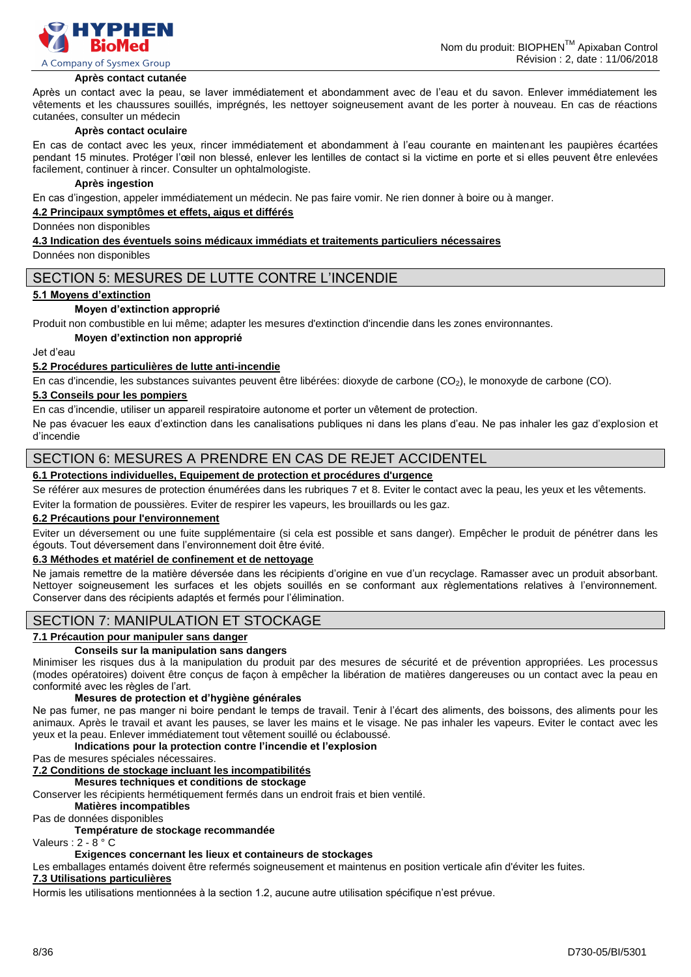

#### **Après contact cutanée**

Après un contact avec la peau, se laver immédiatement et abondamment avec de l'eau et du savon. Enlever immédiatement les vêtements et les chaussures souillés, imprégnés, les nettoyer soigneusement avant de les porter à nouveau. En cas de réactions cutanées, consulter un médecin

#### **Après contact oculaire**

En cas de contact avec les yeux, rincer immédiatement et abondamment à l'eau courante en maintenant les paupières écartées pendant 15 minutes. Protéger l'œil non blessé, enlever les lentilles de contact si la victime en porte et si elles peuvent être enlevées facilement, continuer à rincer. Consulter un ophtalmologiste.

### **Après ingestion**

En cas d'ingestion, appeler immédiatement un médecin. Ne pas faire vomir. Ne rien donner à boire ou à manger.

### **4.2 Principaux symptômes et effets, aigus et différés**

Données non disponibles

#### **4.3 Indication des éventuels soins médicaux immédiats et traitements particuliers nécessaires**

Données non disponibles

### SECTION 5: MESURES DE LUTTE CONTRE L'INCENDIE

### **5.1 Moyens d'extinction**

### **Moyen d'extinction approprié**

Produit non combustible en lui même; adapter les mesures d'extinction d'incendie dans les zones environnantes.

#### **Moyen d'extinction non approprié**

Jet d'eau

### **5.2 Procédures particulières de lutte anti-incendie**

En cas d'incendie, les substances suivantes peuvent être libérées: dioxyde de carbone (CO2), le monoxyde de carbone (CO).

#### **5.3 Conseils pour les pompiers**

En cas d'incendie, utiliser un appareil respiratoire autonome et porter un vêtement de protection.

Ne pas évacuer les eaux d'extinction dans les canalisations publiques ni dans les plans d'eau. Ne pas inhaler les gaz d'explosion et d'incendie

### SECTION 6: MESURES A PRENDRE EN CAS DE REJET ACCIDENTEL

### **6.1 Protections individuelles, Equipement de protection et procédures d'urgence**

Se référer aux mesures de protection énumérées dans les rubriques 7 et 8. Eviter le contact avec la peau, les yeux et les vêtements.

Eviter la formation de poussières. Eviter de respirer les vapeurs, les brouillards ou les gaz.

### **6.2 Précautions pour l'environnement**

Eviter un déversement ou une fuite supplémentaire (si cela est possible et sans danger). Empêcher le produit de pénétrer dans les égouts. Tout déversement dans l'environnement doit être évité.

### **6.3 Méthodes et matériel de confinement et de nettoyage**

Ne jamais remettre de la matière déversée dans les récipients d'origine en vue d'un recyclage. Ramasser avec un produit absorbant. Nettoyer soigneusement les surfaces et les objets souillés en se conformant aux règlementations relatives à l'environnement. Conserver dans des récipients adaptés et fermés pour l'élimination.

### SECTION 7: MANIPULATION ET STOCKAGE

### **7.1 Précaution pour manipuler sans danger**

### **Conseils sur la manipulation sans dangers**

Minimiser les risques dus à la manipulation du produit par des mesures de sécurité et de prévention appropriées. Les processus (modes opératoires) doivent être conçus de façon à empêcher la libération de matières dangereuses ou un contact avec la peau en conformité avec les règles de l'art.

### **Mesures de protection et d'hygiène générales**

Ne pas fumer, ne pas manger ni boire pendant le temps de travail. Tenir à l'écart des aliments, des boissons, des aliments pour les animaux. Après le travail et avant les pauses, se laver les mains et le visage. Ne pas inhaler les vapeurs. Eviter le contact avec les yeux et la peau. Enlever immédiatement tout vêtement souillé ou éclaboussé.

### **Indications pour la protection contre l'incendie et l'explosion**

Pas de mesures spéciales nécessaires.

### **7.2 Conditions de stockage incluant les incompatibilités**

**Mesures techniques et conditions de stockage**

Conserver les récipients hermétiquement fermés dans un endroit frais et bien ventilé.

### **Matières incompatibles**

Pas de données disponibles

### **Température de stockage recommandée**

Valeurs : 2 - 8 ° C

### **Exigences concernant les lieux et containeurs de stockages**

Les emballages entamés doivent être refermés soigneusement et maintenus en position verticale afin d'éviter les fuites.

### **7.3 Utilisations particulières**

Hormis les utilisations mentionnées à la section 1.2, aucune autre utilisation spécifique n'est prévue.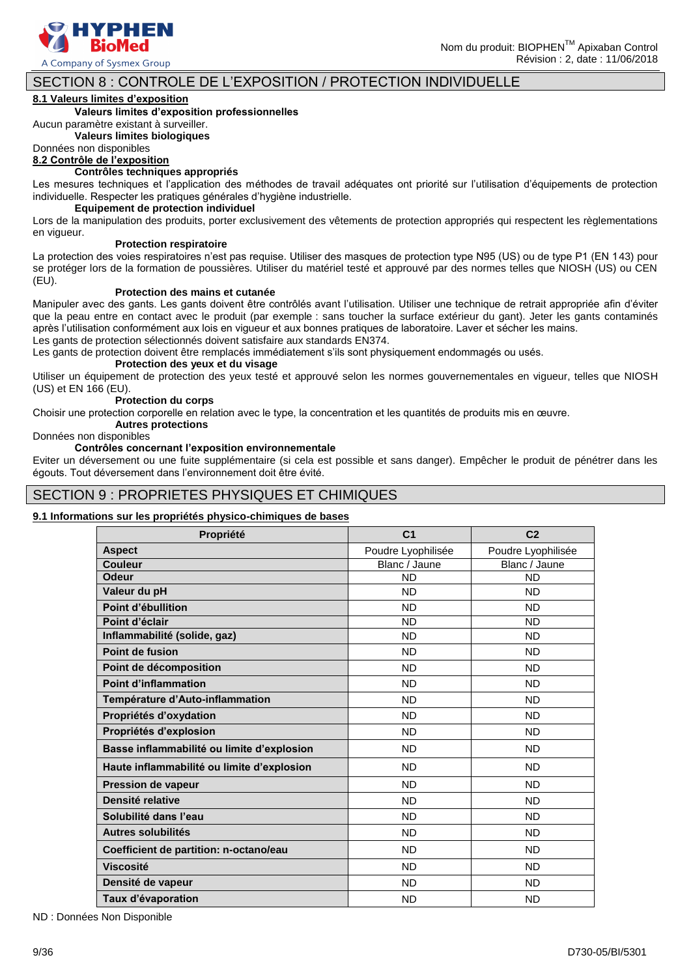

Nom du produit: BIOPHEN™ Apixaban Control Révision : 2, date : 11/06/2018

### SECTION 8 : CONTROLE DE L'EXPOSITION / PROTECTION INDIVIDUELLE

### **8.1 Valeurs limites d'exposition**

### **Valeurs limites d'exposition professionnelles**

Aucun paramètre existant à surveiller.

**Valeurs limites biologiques**

### Données non disponibles

**8.2 Contrôle de l'exposition**

### **Contrôles techniques appropriés**

Les mesures techniques et l'application des méthodes de travail adéquates ont priorité sur l'utilisation d'équipements de protection individuelle. Respecter les pratiques générales d'hygiène industrielle.

### **Equipement de protection individuel**

Lors de la manipulation des produits, porter exclusivement des vêtements de protection appropriés qui respectent les règlementations en vigueur.

#### **Protection respiratoire**

La protection des voies respiratoires n'est pas requise. Utiliser des masques de protection type N95 (US) ou de type P1 (EN 143) pour se protéger lors de la formation de poussières. Utiliser du matériel testé et approuvé par des normes telles que NIOSH (US) ou CEN (EU).

#### **Protection des mains et cutanée**

Manipuler avec des gants. Les gants doivent être contrôlés avant l'utilisation. Utiliser une technique de retrait appropriée afin d'éviter que la peau entre en contact avec le produit (par exemple : sans toucher la surface extérieur du gant). Jeter les gants contaminés après l'utilisation conformément aux lois en vigueur et aux bonnes pratiques de laboratoire. Laver et sécher les mains. Les gants de protection sélectionnés doivent satisfaire aux standards EN374.

Les gants de protection doivent être remplacés immédiatement s'ils sont physiquement endommagés ou usés.

#### **Protection des yeux et du visage**

Utiliser un équipement de protection des yeux testé et approuvé selon les normes gouvernementales en vigueur, telles que NIOSH (US) et EN 166 (EU).

#### **Protection du corps**

Choisir une protection corporelle en relation avec le type, la concentration et les quantités de produits mis en œuvre.

### **Autres protections**

### Données non disponibles

#### **Contrôles concernant l'exposition environnementale**

Eviter un déversement ou une fuite supplémentaire (si cela est possible et sans danger). Empêcher le produit de pénétrer dans les égouts. Tout déversement dans l'environnement doit être évité.

### SECTION 9 : PROPRIETES PHYSIQUES ET CHIMIQUES

### **9.1 Informations sur les propriétés physico-chimiques de bases**

| Propriété                                  | C <sub>1</sub>     | C <sub>2</sub>     |
|--------------------------------------------|--------------------|--------------------|
| <b>Aspect</b>                              | Poudre Lyophilisée | Poudre Lyophilisée |
| <b>Couleur</b>                             | Blanc / Jaune      | Blanc / Jaune      |
| <b>Odeur</b>                               | <b>ND</b>          | <b>ND</b>          |
| Valeur du pH                               | <b>ND</b>          | <b>ND</b>          |
| Point d'ébullition                         | <b>ND</b>          | <b>ND</b>          |
| Point d'éclair                             | <b>ND</b>          | <b>ND</b>          |
| Inflammabilité (solide, gaz)               | <b>ND</b>          | <b>ND</b>          |
| Point de fusion                            | <b>ND</b>          | <b>ND</b>          |
| Point de décomposition                     | <b>ND</b>          | <b>ND</b>          |
| <b>Point d'inflammation</b>                | <b>ND</b>          | <b>ND</b>          |
| Température d'Auto-inflammation            | <b>ND</b>          | <b>ND</b>          |
| Propriétés d'oxydation                     | <b>ND</b>          | <b>ND</b>          |
| Propriétés d'explosion                     | <b>ND</b>          | <b>ND</b>          |
| Basse inflammabilité ou limite d'explosion | <b>ND</b>          | <b>ND</b>          |
| Haute inflammabilité ou limite d'explosion | <b>ND</b>          | <b>ND</b>          |
| <b>Pression de vapeur</b>                  | <b>ND</b>          | <b>ND</b>          |
| Densité relative                           | <b>ND</b>          | <b>ND</b>          |
| Solubilité dans l'eau                      | <b>ND</b>          | <b>ND</b>          |
| Autres solubilités                         | <b>ND</b>          | <b>ND</b>          |
| Coefficient de partition: n-octano/eau     | <b>ND</b>          | <b>ND</b>          |
| <b>Viscosité</b>                           | <b>ND</b>          | <b>ND</b>          |
| Densité de vapeur                          | <b>ND</b>          | <b>ND</b>          |
| Taux d'évaporation                         | <b>ND</b>          | <b>ND</b>          |

ND : Données Non Disponible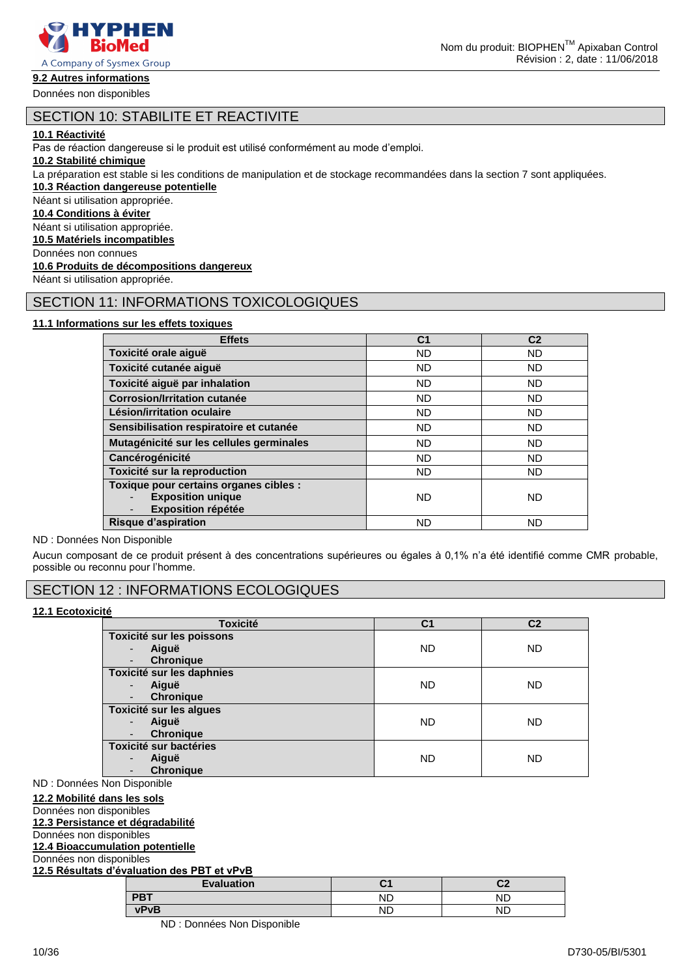

A Company of Sysmex Group

### **9.2 Autres informations**

Données non disponibles

### SECTION 10: STABILITE ET REACTIVITE

### **10.1 Réactivité**

Pas de réaction dangereuse si le produit est utilisé conformément au mode d'emploi.

**10.2 Stabilité chimique**

La préparation est stable si les conditions de manipulation et de stockage recommandées dans la section 7 sont appliquées.

**10.3 Réaction dangereuse potentielle**

Néant si utilisation appropriée.

### **10.4 Conditions à éviter**

Néant si utilisation appropriée.

**10.5 Matériels incompatibles**

Données non connues

### **10.6 Produits de décompositions dangereux**

Néant si utilisation appropriée.

### SECTION 11: INFORMATIONS TOXICOLOGIQUES

### **11.1 Informations sur les effets toxiques**

| <b>Effets</b>                                                                                   | C <sub>1</sub> | C <sub>2</sub> |
|-------------------------------------------------------------------------------------------------|----------------|----------------|
| Toxicité orale aiguë                                                                            | <b>ND</b>      | ND             |
| Toxicité cutanée aiguë                                                                          | <b>ND</b>      | ND             |
| Toxicité aiguë par inhalation                                                                   | <b>ND</b>      | <b>ND</b>      |
| <b>Corrosion/Irritation cutanée</b>                                                             | <b>ND</b>      | ND             |
| Lésion/irritation oculaire                                                                      | <b>ND</b>      | ND             |
| Sensibilisation respiratoire et cutanée                                                         | <b>ND</b>      | ND             |
| Mutagénicité sur les cellules germinales                                                        | <b>ND</b>      | ND             |
| Cancérogénicité                                                                                 | <b>ND</b>      | <b>ND</b>      |
| Toxicité sur la reproduction                                                                    | <b>ND</b>      | ND             |
| Toxique pour certains organes cibles :<br><b>Exposition unique</b><br><b>Exposition répétée</b> | <b>ND</b>      | ND             |
| <b>Risque d'aspiration</b>                                                                      | ND             | ND             |

ND : Données Non Disponible

Aucun composant de ce produit présent à des concentrations supérieures ou égales à 0,1% n'a été identifié comme CMR probable, possible ou reconnu pour l'homme.

### SECTION 12 : INFORMATIONS ECOLOGIQUES

### **12.1 Ecotoxicité**

| <b>Toxicité</b>                              | C <sub>1</sub> | C <sub>2</sub> |
|----------------------------------------------|----------------|----------------|
| Toxicité sur les poissons                    |                |                |
| Aiguë<br>$\overline{\phantom{0}}$            | <b>ND</b>      | <b>ND</b>      |
| <b>Chronique</b><br>$\overline{\phantom{a}}$ |                |                |
| Toxicité sur les daphnies                    |                |                |
| Aiguë<br>$\overline{\phantom{0}}$            | <b>ND</b>      | <b>ND</b>      |
| <b>Chronique</b><br>-                        |                |                |
| Toxicité sur les algues                      |                |                |
| Aiguë<br>$\overline{\phantom{0}}$            | <b>ND</b>      | <b>ND</b>      |
| <b>Chronique</b><br>$\overline{\phantom{0}}$ |                |                |
| <b>Toxicité sur bactéries</b>                |                |                |
| Aiguë<br>$\overline{\phantom{0}}$            | <b>ND</b>      | <b>ND</b>      |
| <b>Chronique</b><br>-                        |                |                |

ND : Données Non Disponible

**12.2 Mobilité dans les sols** Données non disponibles **12.3 Persistance et dégradabilité** Données non disponibles **12.4 Bioaccumulation potentielle** Données non disponibles **12.5 Résultats d'évaluation des PBT et vPvB Evaluation C1 C2 PBT** ND ND

> **vPvB** ND ND ND : Données Non Disponible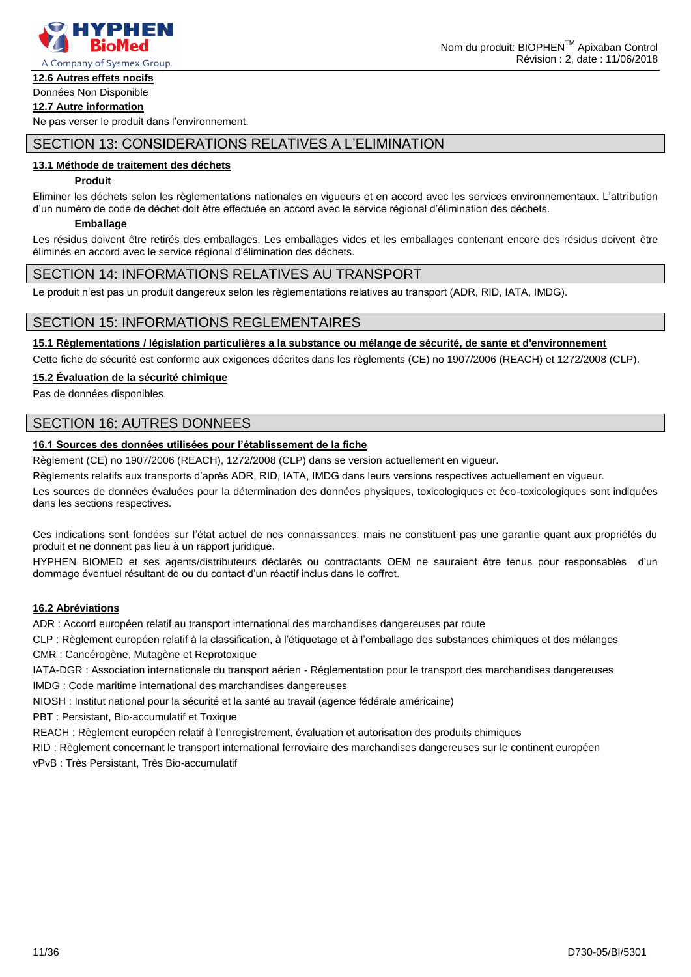

### **12.6 Autres effets nocifs**

### Données Non Disponible **12.7 Autre information**

Ne pas verser le produit dans l'environnement.

### SECTION 13: CONSIDERATIONS RELATIVES A L'ELIMINATION

### **13.1 Méthode de traitement des déchets**

### **Produit**

Eliminer les déchets selon les règlementations nationales en vigueurs et en accord avec les services environnementaux. L'attribution d'un numéro de code de déchet doit être effectuée en accord avec le service régional d'élimination des déchets.

### **Emballage**

Les résidus doivent être retirés des emballages. Les emballages vides et les emballages contenant encore des résidus doivent être éliminés en accord avec le service régional d'élimination des déchets.

### SECTION 14: INFORMATIONS RELATIVES AU TRANSPORT

Le produit n'est pas un produit dangereux selon les règlementations relatives au transport (ADR, RID, IATA, IMDG).

### SECTION 15: INFORMATIONS REGLEMENTAIRES

**15.1 Règlementations / législation particulières a la substance ou mélange de sécurité, de sante et d'environnement**

Cette fiche de sécurité est conforme aux exigences décrites dans les règlements (CE) no 1907/2006 (REACH) et 1272/2008 (CLP).

### **15.2 Évaluation de la sécurité chimique**

Pas de données disponibles.

### SECTION 16: AUTRES DONNEES

### **16.1 Sources des données utilisées pour l'établissement de la fiche**

Règlement (CE) no 1907/2006 (REACH), 1272/2008 (CLP) dans se version actuellement en vigueur.

Règlements relatifs aux transports d'après ADR, RID, IATA, IMDG dans leurs versions respectives actuellement en vigueur.

Les sources de données évaluées pour la détermination des données physiques, toxicologiques et éco-toxicologiques sont indiquées dans les sections respectives.

Ces indications sont fondées sur l'état actuel de nos connaissances, mais ne constituent pas une garantie quant aux propriétés du produit et ne donnent pas lieu à un rapport juridique.

HYPHEN BIOMED et ses agents/distributeurs déclarés ou contractants OEM ne sauraient être tenus pour responsables d'un dommage éventuel résultant de ou du contact d'un réactif inclus dans le coffret.

### **16.2 Abréviations**

ADR : Accord européen relatif au transport international des marchandises dangereuses par route

CLP : Règlement européen relatif à la classification, à l'étiquetage et à l'emballage des substances chimiques et des mélanges

CMR : Cancérogène, Mutagène et Reprotoxique

IATA-DGR : Association internationale du transport aérien - Réglementation pour le transport des marchandises dangereuses IMDG : Code maritime international des marchandises dangereuses

NIOSH : Institut national pour la sécurité et la santé au travail (agence fédérale américaine)

PBT : Persistant, Bio-accumulatif et Toxique

REACH : Règlement européen relatif à l'enregistrement, évaluation et autorisation des produits chimiques

RID : Règlement concernant le transport international ferroviaire des marchandises dangereuses sur le continent européen

vPvB : Très Persistant, Très Bio-accumulatif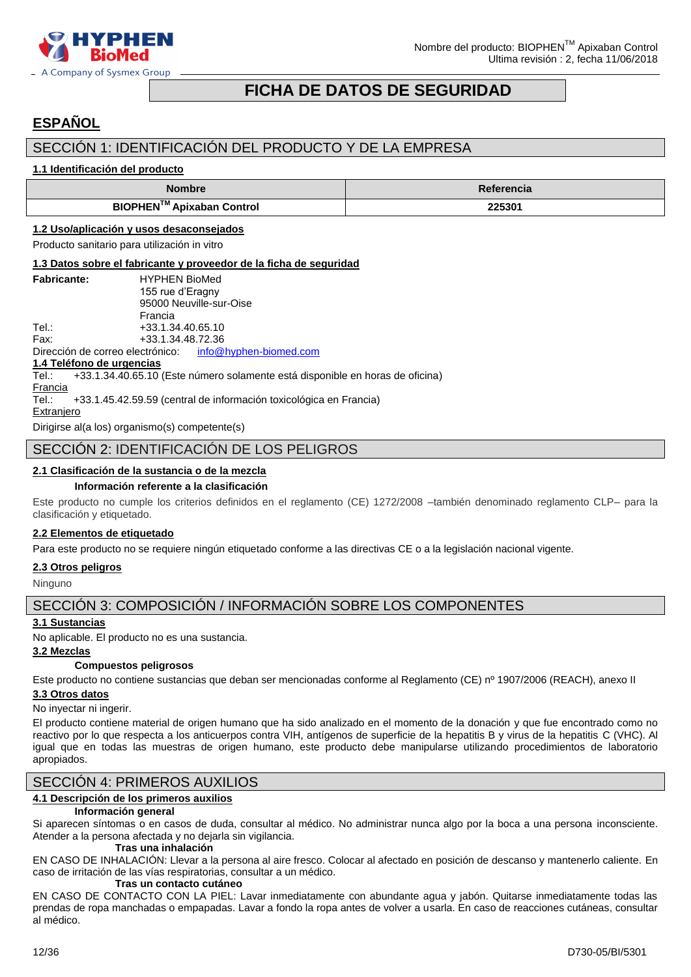

### **FICHA DE DATOS DE SEGURIDAD**

## <span id="page-11-0"></span>**ESPAÑOL**

### SECCIÓN 1: IDENTIFICACIÓN DEL PRODUCTO Y DE LA EMPRESA

### **1.1 Identificación del producto**

| <b>Nombre</b>                               | <b>Referencia</b> |
|---------------------------------------------|-------------------|
| <b>BIOPHEN<sup>™</sup> Apixaban Control</b> | 225301            |

### **1.2 Uso/aplicación y usos desaconsejados**

Producto sanitario para utilización in vitro

### **1.3 Datos sobre el fabricante y proveedor de la ficha de seguridad**

| <b>Fabricante:</b> | <b>HYPHEN BioMed</b>    |
|--------------------|-------------------------|
|                    | 155 rue d'Eragny        |
|                    | 95000 Neuville-sur-Oise |
|                    | Francia                 |
| Tel.:              | +33.1.34.40.65.10       |
| Fax:               | +33.1.34.48.72.36       |

Dirección de correo electrónico: [info@hyphen-biomed.com](mailto:info@hyphen-biomed.com)

**1.4 Teléfono de urgencias**

+33.1.34.40.65.10 (Este número solamente está disponible en horas de oficina)

### **Francia**

Tel.: +33.1.45.42.59.59 (central de información toxicológica en Francia)

**Extranjero** 

Dirigirse al(a los) organismo(s) competente(s)

### SECCIÓN 2: IDENTIFICACIÓN DE LOS PELIGROS

### **2.1 Clasificación de la sustancia o de la mezcla**

### **Información referente a la clasificación**

Este producto no cumple los criterios definidos en el reglamento (CE) 1272/2008 –también denominado reglamento CLP– para la clasificación y etiquetado.

### **2.2 Elementos de etiquetado**

Para este producto no se requiere ningún etiquetado conforme a las directivas CE o a la legislación nacional vigente.

### **2.3 Otros peligros**

Ninguno

### SECCIÓN 3: COMPOSICIÓN / INFORMACIÓN SOBRE LOS COMPONENTES

### **3.1 Sustancias**

No aplicable. El producto no es una sustancia.

### **3.2 Mezclas**

### **Compuestos peligrosos**

Este producto no contiene sustancias que deban ser mencionadas conforme al Reglamento (CE) nº 1907/2006 (REACH), anexo II **3.3 Otros datos**

### No inyectar ni ingerir.

El producto contiene material de origen humano que ha sido analizado en el momento de la donación y que fue encontrado como no reactivo por lo que respecta a los anticuerpos contra VIH, antígenos de superficie de la hepatitis B y virus de la hepatitis C (VHC). Al igual que en todas las muestras de origen humano, este producto debe manipularse utilizando procedimientos de laboratorio apropiados.

### SECCIÓN 4: PRIMEROS AUXILIOS

### **4.1 Descripción de los primeros auxilios**

### **Información general**

Si aparecen síntomas o en casos de duda, consultar al médico. No administrar nunca algo por la boca a una persona inconsciente. Atender a la persona afectada y no dejarla sin vigilancia. **Tras una inhalación**

### EN CASO DE INHALACIÓN: Llevar a la persona al aire fresco. Colocar al afectado en posición de descanso y mantenerlo caliente. En caso de irritación de las vías respiratorias, consultar a un médico.

### **Tras un contacto cutáneo**

EN CASO DE CONTACTO CON LA PIEL: Lavar inmediatamente con abundante agua y jabón. Quitarse inmediatamente todas las prendas de ropa manchadas o empapadas. Lavar a fondo la ropa antes de volver a usarla. En caso de reacciones cutáneas, consultar al médico.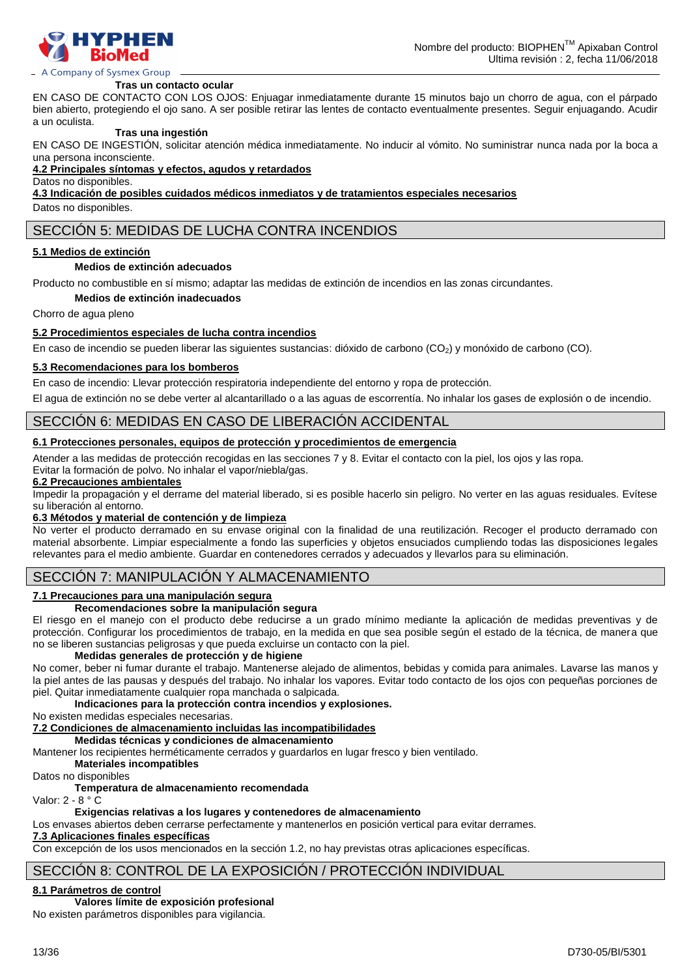

### A Company of Sysmex Group

#### **Tras un contacto ocular**

EN CASO DE CONTACTO CON LOS OJOS: Enjuagar inmediatamente durante 15 minutos bajo un chorro de agua, con el párpado bien abierto, protegiendo el ojo sano. A ser posible retirar las lentes de contacto eventualmente presentes. Seguir enjuagando. Acudir a un oculista.

### **Tras una ingestión**

EN CASO DE INGESTIÓN, solicitar atención médica inmediatamente. No inducir al vómito. No suministrar nunca nada por la boca a una persona inconsciente.

### **4.2 Principales síntomas y efectos, agudos y retardados**

Datos no disponibles.

**4.3 Indicación de posibles cuidados médicos inmediatos y de tratamientos especiales necesarios**

Datos no disponibles.

### SECCIÓN 5: MEDIDAS DE LUCHA CONTRA INCENDIOS

### **5.1 Medios de extinción**

### **Medios de extinción adecuados**

Producto no combustible en sí mismo; adaptar las medidas de extinción de incendios en las zonas circundantes.

**Medios de extinción inadecuados**

Chorro de agua pleno

### **5.2 Procedimientos especiales de lucha contra incendios**

En caso de incendio se pueden liberar las siguientes sustancias: dióxido de carbono (CO<sub>2</sub>) y monóxido de carbono (CO).

### **5.3 Recomendaciones para los bomberos**

En caso de incendio: Llevar protección respiratoria independiente del entorno y ropa de protección.

El agua de extinción no se debe verter al alcantarillado o a las aguas de escorrentía. No inhalar los gases de explosión o de incendio.

### SECCIÓN 6: MEDIDAS EN CASO DE LIBERACIÓN ACCIDENTAL

### **6.1 Protecciones personales, equipos de protección y procedimientos de emergencia**

Atender a las medidas de protección recogidas en las secciones 7 y 8. Evitar el contacto con la piel, los ojos y las ropa. Evitar la formación de polvo. No inhalar el vapor/niebla/gas.

### **6.2 Precauciones ambientales**

Impedir la propagación y el derrame del material liberado, si es posible hacerlo sin peligro. No verter en las aguas residuales. Evítese su liberación al entorno.

### **6.3 Métodos y material de contención y de limpieza**

No verter el producto derramado en su envase original con la finalidad de una reutilización. Recoger el producto derramado con material absorbente. Limpiar especialmente a fondo las superficies y objetos ensuciados cumpliendo todas las disposiciones legales relevantes para el medio ambiente. Guardar en contenedores cerrados y adecuados y llevarlos para su eliminación.

### SECCIÓN 7: MANIPULACIÓN Y ALMACENAMIENTO

### **7.1 Precauciones para una manipulación segura**

### **Recomendaciones sobre la manipulación segura**

El riesgo en el manejo con el producto debe reducirse a un grado mínimo mediante la aplicación de medidas preventivas y de protección. Configurar los procedimientos de trabajo, en la medida en que sea posible según el estado de la técnica, de manera que no se liberen sustancias peligrosas y que pueda excluirse un contacto con la piel.

### **Medidas generales de protección y de higiene**

No comer, beber ni fumar durante el trabajo. Mantenerse alejado de alimentos, bebidas y comida para animales. Lavarse las manos y la piel antes de las pausas y después del trabajo. No inhalar los vapores. Evitar todo contacto de los ojos con pequeñas porciones de piel. Quitar inmediatamente cualquier ropa manchada o salpicada.

### **Indicaciones para la protección contra incendios y explosiones.**

No existen medidas especiales necesarias.

### **7.2 Condiciones de almacenamiento incluidas las incompatibilidades**

### **Medidas técnicas y condiciones de almacenamiento**

Mantener los recipientes herméticamente cerrados y guardarlos en lugar fresco y bien ventilado.

### **Materiales incompatibles**

Datos no disponibles

### **Temperatura de almacenamiento recomendada**

Valor: 2 - 8 ° C

### **Exigencias relativas a los lugares y contenedores de almacenamiento**

Los envases abiertos deben cerrarse perfectamente y mantenerlos en posición vertical para evitar derrames. **7.3 Aplicaciones finales específicas**

Con excepción de los usos mencionados en la sección 1.2, no hay previstas otras aplicaciones específicas.

### SECCIÓN 8: CONTROL DE LA EXPOSICIÓN / PROTECCIÓN INDIVIDUAL

### **8.1 Parámetros de control**

**Valores límite de exposición profesional**

No existen parámetros disponibles para vigilancia.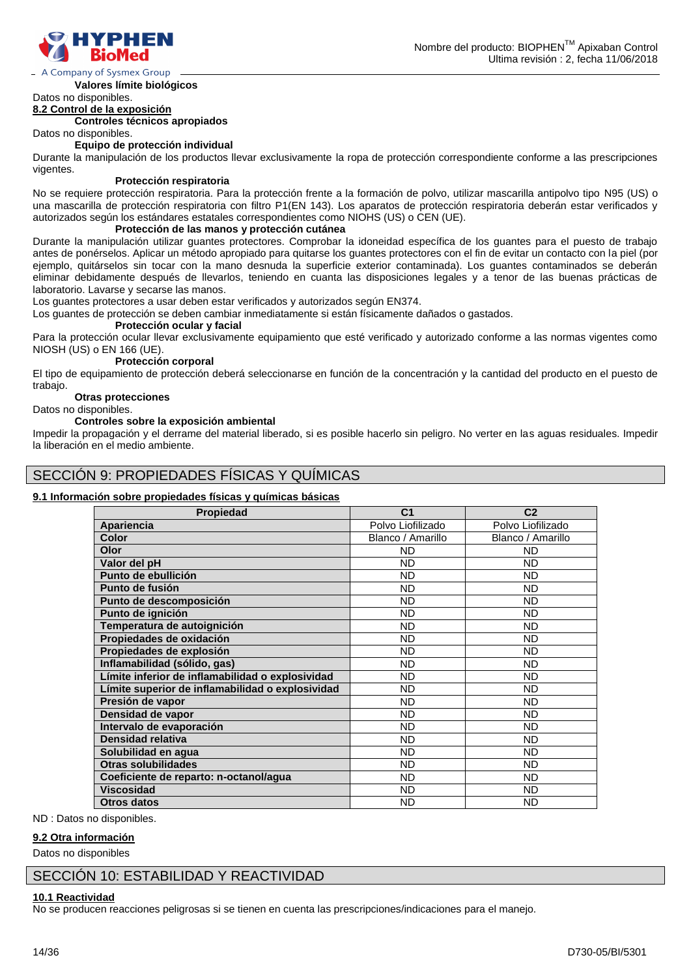

### A Company of Sysmex Group

**Valores límite biológicos** Datos no disponibles.

### **8.2 Control de la exposición**

**Controles técnicos apropiados**

Datos no disponibles.

#### **Equipo de protección individual**

Durante la manipulación de los productos llevar exclusivamente la ropa de protección correspondiente conforme a las prescripciones vigentes.

### **Protección respiratoria**

No se requiere protección respiratoria. Para la protección frente a la formación de polvo, utilizar mascarilla antipolvo tipo N95 (US) o una mascarilla de protección respiratoria con filtro P1(EN 143). Los aparatos de protección respiratoria deberán estar verificados y autorizados según los estándares estatales correspondientes como NIOHS (US) o CEN (UE).

### **Protección de las manos y protección cutánea**

Durante la manipulación utilizar guantes protectores. Comprobar la idoneidad específica de los guantes para el puesto de trabajo antes de ponérselos. Aplicar un método apropiado para quitarse los guantes protectores con el fin de evitar un contacto con la piel (por ejemplo, quitárselos sin tocar con la mano desnuda la superficie exterior contaminada). Los guantes contaminados se deberán eliminar debidamente después de llevarlos, teniendo en cuanta las disposiciones legales y a tenor de las buenas prácticas de laboratorio. Lavarse y secarse las manos.

Los guantes protectores a usar deben estar verificados y autorizados según EN374.

Los guantes de protección se deben cambiar inmediatamente si están físicamente dañados o gastados.

### **Protección ocular y facial**

Para la protección ocular llevar exclusivamente equipamiento que esté verificado y autorizado conforme a las normas vigentes como NIOSH (US) o EN 166 (UE).

### **Protección corporal**

El tipo de equipamiento de protección deberá seleccionarse en función de la concentración y la cantidad del producto en el puesto de trabajo.

#### **Otras protecciones**

Datos no disponibles.

#### **Controles sobre la exposición ambiental**

Impedir la propagación y el derrame del material liberado, si es posible hacerlo sin peligro. No verter en las aguas residuales. Impedir la liberación en el medio ambiente.

### SECCIÓN 9: PROPIEDADES FÍSICAS Y QUÍMICAS

### **9.1 Información sobre propiedades físicas y químicas básicas**

| <b>Propiedad</b>                                 | C <sub>1</sub>    | C <sub>2</sub>    |
|--------------------------------------------------|-------------------|-------------------|
| Apariencia                                       | Polvo Liofilizado | Polvo Liofilizado |
| Color                                            | Blanco / Amarillo | Blanco / Amarillo |
| Olor                                             | <b>ND</b>         | <b>ND</b>         |
| Valor del pH                                     | <b>ND</b>         | <b>ND</b>         |
| Punto de ebullición                              | <b>ND</b>         | <b>ND</b>         |
| Punto de fusión                                  | ND                | <b>ND</b>         |
| Punto de descomposición                          | <b>ND</b>         | <b>ND</b>         |
| Punto de ignición                                | <b>ND</b>         | <b>ND</b>         |
| Temperatura de autoignición                      | <b>ND</b>         | <b>ND</b>         |
| Propiedades de oxidación                         | <b>ND</b>         | <b>ND</b>         |
| Propiedades de explosión                         | <b>ND</b>         | <b>ND</b>         |
| Inflamabilidad (sólido, gas)                     | <b>ND</b>         | <b>ND</b>         |
| Límite inferior de inflamabilidad o explosividad | <b>ND</b>         | <b>ND</b>         |
| Límite superior de inflamabilidad o explosividad | <b>ND</b>         | <b>ND</b>         |
| Presión de vapor                                 | ND.               | <b>ND</b>         |
| Densidad de vapor                                | <b>ND</b>         | <b>ND</b>         |
| Intervalo de evaporación                         | <b>ND</b>         | <b>ND</b>         |
| Densidad relativa                                | <b>ND</b>         | <b>ND</b>         |
| Solubilidad en agua                              | <b>ND</b>         | <b>ND</b>         |
| Otras solubilidades                              | <b>ND</b>         | <b>ND</b>         |
| Coeficiente de reparto: n-octanol/agua           | <b>ND</b>         | <b>ND</b>         |
| <b>Viscosidad</b>                                | <b>ND</b>         | <b>ND</b>         |
| <b>Otros datos</b>                               | <b>ND</b>         | <b>ND</b>         |

ND : Datos no disponibles.

### **9.2 Otra información**

Datos no disponibles

### SECCIÓN 10: ESTABILIDAD Y REACTIVIDAD

### **10.1 Reactividad**

No se producen reacciones peligrosas si se tienen en cuenta las prescripciones/indicaciones para el manejo.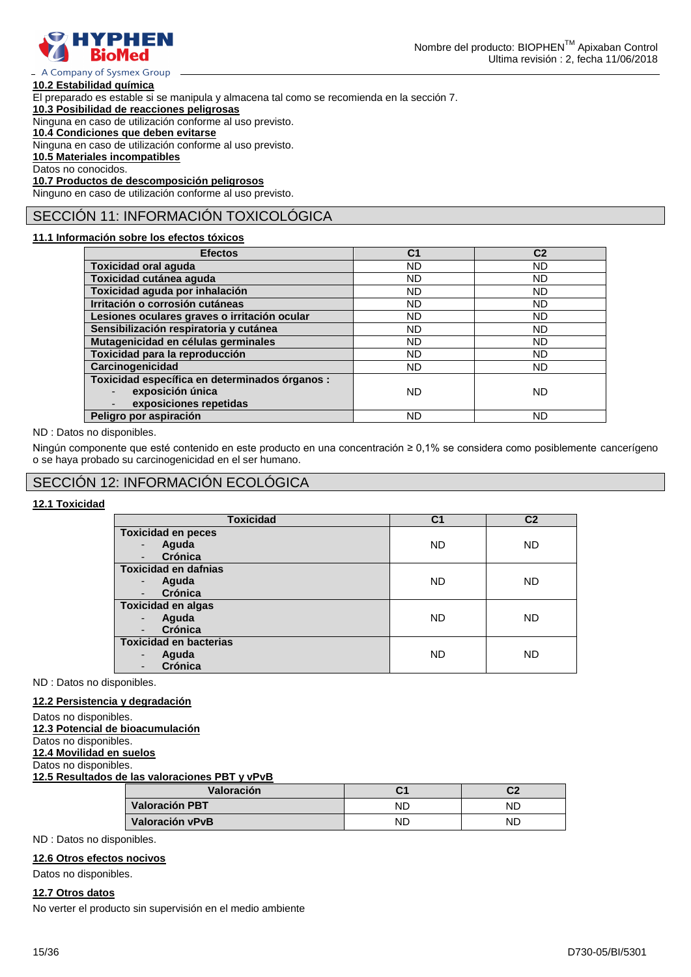

#### - A Company of Sysmex Group **10.2 Estabilidad química**

El preparado es estable si se manipula y almacena tal como se recomienda en la sección 7.

**10.3 Posibilidad de reacciones peligrosas**

Ninguna en caso de utilización conforme al uso previsto.

**10.4 Condiciones que deben evitarse**

Ninguna en caso de utilización conforme al uso previsto.

**10.5 Materiales incompatibles**

Datos no conocidos.

**10.7 Productos de descomposición peligrosos** Ninguno en caso de utilización conforme al uso previsto.

### SECCIÓN 11: INFORMACIÓN TOXICOLÓGICA

### **11.1 Información sobre los efectos tóxicos**

| <b>Efectos</b>                                 | C <sub>1</sub> | C <sub>2</sub> |
|------------------------------------------------|----------------|----------------|
| <b>Toxicidad oral aguda</b>                    | ND.            | ND             |
| Toxicidad cutánea aguda                        | ND             | ND             |
| Toxicidad aguda por inhalación                 | ND             | ND             |
| Irritación o corrosión cutáneas                | <b>ND</b>      | ND.            |
| Lesiones oculares graves o irritación ocular   | ND.            | ND             |
| Sensibilización respiratoria y cutánea         | ND.            | ND.            |
| Mutagenicidad en células germinales            | <b>ND</b>      | ND             |
| Toxicidad para la reproducción                 | <b>ND</b>      | ND             |
| Carcinogenicidad                               | ND.            | ND.            |
| Toxicidad específica en determinados órganos : |                |                |
| exposición única                               | ND             | <b>ND</b>      |
| exposiciones repetidas                         |                |                |
| Peligro por aspiración                         | <b>ND</b>      | ND             |

### ND : Datos no disponibles.

Ningún componente que esté contenido en este producto en una concentración ≥ 0,1% se considera como posiblemente cancerígeno o se haya probado su carcinogenicidad en el ser humano.

### SECCIÓN 12: INFORMACIÓN ECOLÓGICA

### **12.1 Toxicidad**

| <b>Toxicidad</b>              | C <sub>1</sub> | C <sub>2</sub> |
|-------------------------------|----------------|----------------|
| <b>Toxicidad en peces</b>     |                |                |
| Aguda<br>-                    | <b>ND</b>      | <b>ND</b>      |
| Crónica                       |                |                |
| <b>Toxicidad en dafnias</b>   |                |                |
| Aguda                         | <b>ND</b>      | <b>ND</b>      |
| Crónica                       |                |                |
| <b>Toxicidad en algas</b>     |                |                |
| Aguda                         | <b>ND</b>      | <b>ND</b>      |
| Crónica                       |                |                |
| <b>Toxicidad en bacterias</b> |                |                |
| Aguda<br>-                    | <b>ND</b>      | <b>ND</b>      |
| Crónica                       |                |                |

ND : Datos no disponibles.

### **12.2 Persistencia y degradación**

Datos no disponibles. **12.3 Potencial de bioacumulación** Datos no disponibles.

**12.4 Movilidad en suelos**

Datos no disponibles.

**12.5 Resultados de las valoraciones PBT y vPvB**

| Valoración      |    | ົາ<br>◡∠ |
|-----------------|----|----------|
| Valoración PBT  | ND | ND       |
| Valoración vPvB | ND | ΝC       |

ND : Datos no disponibles.

### **12.6 Otros efectos nocivos**

Datos no disponibles.

### **12.7 Otros datos**

No verter el producto sin supervisión en el medio ambiente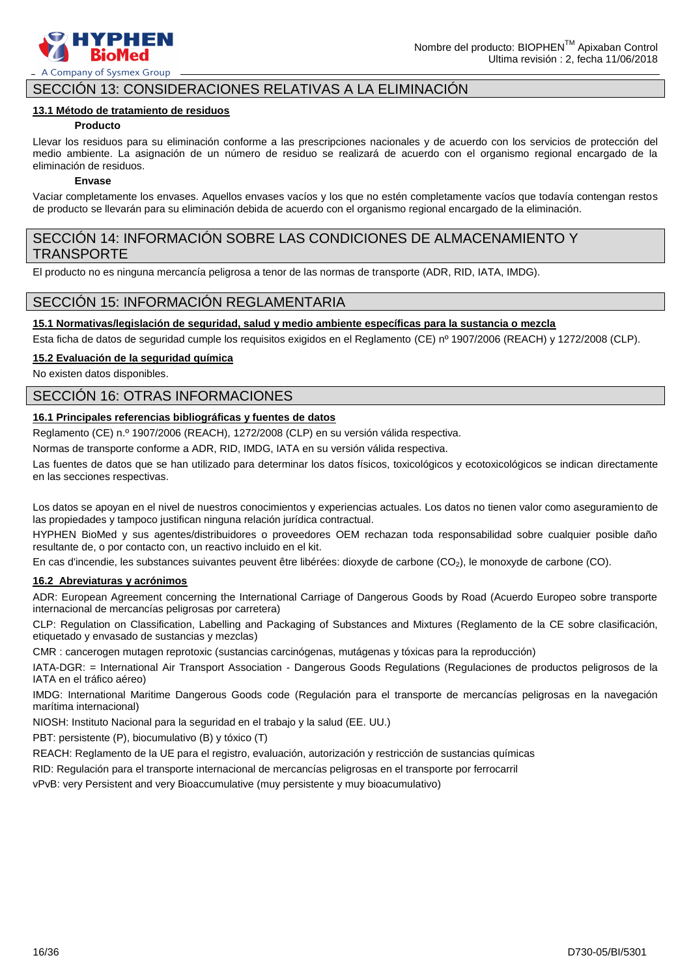

### SECCIÓN 13: CONSIDERACIONES RELATIVAS A LA ELIMINACIÓN

### **13.1 Método de tratamiento de residuos**

### **Producto**

Llevar los residuos para su eliminación conforme a las prescripciones nacionales y de acuerdo con los servicios de protección del medio ambiente. La asignación de un número de residuo se realizará de acuerdo con el organismo regional encargado de la eliminación de residuos.

### **Envase**

Vaciar completamente los envases. Aquellos envases vacíos y los que no estén completamente vacíos que todavía contengan restos de producto se llevarán para su eliminación debida de acuerdo con el organismo regional encargado de la eliminación.

### SECCIÓN 14: INFORMACIÓN SOBRE LAS CONDICIONES DE ALMACENAMIENTO Y TRANSPORTE

El producto no es ninguna mercancía peligrosa a tenor de las normas de transporte (ADR, RID, IATA, IMDG).

### SECCIÓN 15: INFORMACIÓN REGLAMENTARIA

### **15.1 Normativas/legislación de seguridad, salud y medio ambiente específicas para la sustancia o mezcla**

Esta ficha de datos de seguridad cumple los requisitos exigidos en el Reglamento (CE) nº 1907/2006 (REACH) y 1272/2008 (CLP).

### **15.2 Evaluación de la seguridad química**

No existen datos disponibles.

### SECCIÓN 16: OTRAS INFORMACIONES

### **16.1 Principales referencias bibliográficas y fuentes de datos**

Reglamento (CE) n.º 1907/2006 (REACH), 1272/2008 (CLP) en su versión válida respectiva.

Normas de transporte conforme a ADR, RID, IMDG, IATA en su versión válida respectiva.

Las fuentes de datos que se han utilizado para determinar los datos físicos, toxicológicos y ecotoxicológicos se indican directamente en las secciones respectivas.

Los datos se apoyan en el nivel de nuestros conocimientos y experiencias actuales. Los datos no tienen valor como aseguramiento de las propiedades y tampoco justifican ninguna relación jurídica contractual.

HYPHEN BioMed y sus agentes/distribuidores o proveedores OEM rechazan toda responsabilidad sobre cualquier posible daño resultante de, o por contacto con, un reactivo incluido en el kit.

En cas d'incendie, les substances suivantes peuvent être libérées: dioxyde de carbone (CO2), le monoxyde de carbone (CO).

### **16.2 Abreviaturas y acrónimos**

ADR: European Agreement concerning the International Carriage of Dangerous Goods by Road (Acuerdo Europeo sobre transporte internacional de mercancías peligrosas por carretera)

CLP: Regulation on Classification, Labelling and Packaging of Substances and Mixtures (Reglamento de la CE sobre clasificación, etiquetado y envasado de sustancias y mezclas)

CMR : cancerogen mutagen reprotoxic (sustancias carcinógenas, mutágenas y tóxicas para la reproducción)

IATA-DGR: = International Air Transport Association - Dangerous Goods Regulations (Regulaciones de productos peligrosos de la IATA en el tráfico aéreo)

IMDG: International Maritime Dangerous Goods code (Regulación para el transporte de mercancías peligrosas en la navegación marítima internacional)

NIOSH: Instituto Nacional para la seguridad en el trabajo y la salud (EE. UU.)

PBT: persistente (P), biocumulativo (B) y tóxico (T)

REACH: Reglamento de la UE para el registro, evaluación, autorización y restricción de sustancias químicas

RID: Regulación para el transporte internacional de mercancías peligrosas en el transporte por ferrocarril

vPvB: very Persistent and very Bioaccumulative (muy persistente y muy bioacumulativo)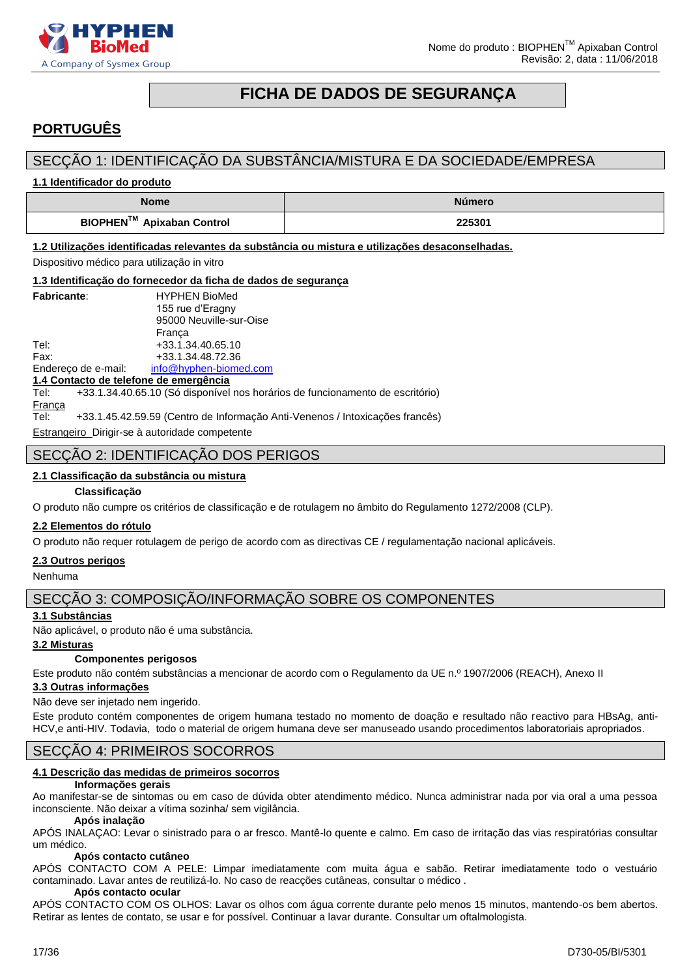

### **FICHA DE DADOS DE SEGURANÇA**

### <span id="page-16-0"></span>**PORTUGUÊS**

### SECÇÃO 1: IDENTIFICAÇÃO DA SUBSTÂNCIA/MISTURA E DA SOCIEDADE/EMPRESA

**1.1 Identificador do produto**

| <b>Nome</b>               | Número |
|---------------------------|--------|
| BIOPHEN™ Apixaban Control | 225301 |

**1.2 Utilizações identificadas relevantes da substância ou mistura e utilizações desaconselhadas.**

Dispositivo médico para utilização in vitro

#### **<u>gurança</u>**

|                     | 1.3 Identificação do fornecedor da ficha de dados de seg |
|---------------------|----------------------------------------------------------|
| <b>Fabricante:</b>  | <b>HYPHEN BioMed</b>                                     |
|                     | 155 rue d'Eragny                                         |
|                     | 95000 Neuville-sur-Oise                                  |
|                     | Franca                                                   |
| Tel:                | +33.1.34.40.65.10                                        |
| Fax:                | +33.1.34.48.72.36                                        |
| Endereço de e-mail: | info@hyphen-biomed.com                                   |

**1.4 Contacto de telefone de emergência**

Tel: +33.1.34.40.65.10 (Só disponível nos horários de funcionamento de escritório)

**França** 

Tel: +33.1.45.42.59.59 (Centro de Informação Anti-Venenos / Intoxicações francês)

Estrangeiro Dirigir-se à autoridade competente

### SECÇÃO 2: IDENTIFICAÇÃO DOS PERIGOS

### **2.1 Classificação da substância ou mistura**

### **Classificação**

O produto não cumpre os critérios de classificação e de rotulagem no âmbito do Regulamento 1272/2008 (CLP).

### **2.2 Elementos do rótulo**

O produto não requer rotulagem de perigo de acordo com as directivas CE / regulamentação nacional aplicáveis.

### **2.3 Outros perigos**

Nenhuma

### SECÇÃO 3: COMPOSIÇÃO/INFORMAÇÃO SOBRE OS COMPONENTES

### **3.1 Substâncias**

Não aplicável, o produto não é uma substância.

### **3.2 Misturas**

### **Componentes perigosos**

Este produto não contém substâncias a mencionar de acordo com o Regulamento da UE n.º 1907/2006 (REACH), Anexo II

### **3.3 Outras informações**

Não deve ser injetado nem ingerido.

Este produto contém componentes de origem humana testado no momento de doação e resultado não reactivo para HBsAg, anti-HCV,e anti-HIV. Todavia, todo o material de origem humana deve ser manuseado usando procedimentos laboratoriais apropriados.

### SECÇÃO 4: PRIMEIROS SOCORROS

### **4.1 Descrição das medidas de primeiros socorros**

### **Informações gerais**

Ao manifestar-se de sintomas ou em caso de dúvida obter atendimento médico. Nunca administrar nada por via oral a uma pessoa inconsciente. Não deixar a vítima sozinha/ sem vigilância.

#### **Após inalação**

APÓS INALAÇAO: Levar o sinistrado para o ar fresco. Mantê-lo quente e calmo. Em caso de irritação das vias respiratórias consultar um médico.

### **Após contacto cutâneo**

APÓS CONTACTO COM A PELE: Limpar imediatamente com muita água e sabão. Retirar imediatamente todo o vestuário contaminado. Lavar antes de reutilizá-lo. No caso de reacções cutâneas, consultar o médico .

#### **Após contacto ocular**

APÓS CONTACTO COM OS OLHOS: Lavar os olhos com água corrente durante pelo menos 15 minutos, mantendo-os bem abertos. Retirar as lentes de contato, se usar e for possível. Continuar a lavar durante. Consultar um oftalmologista.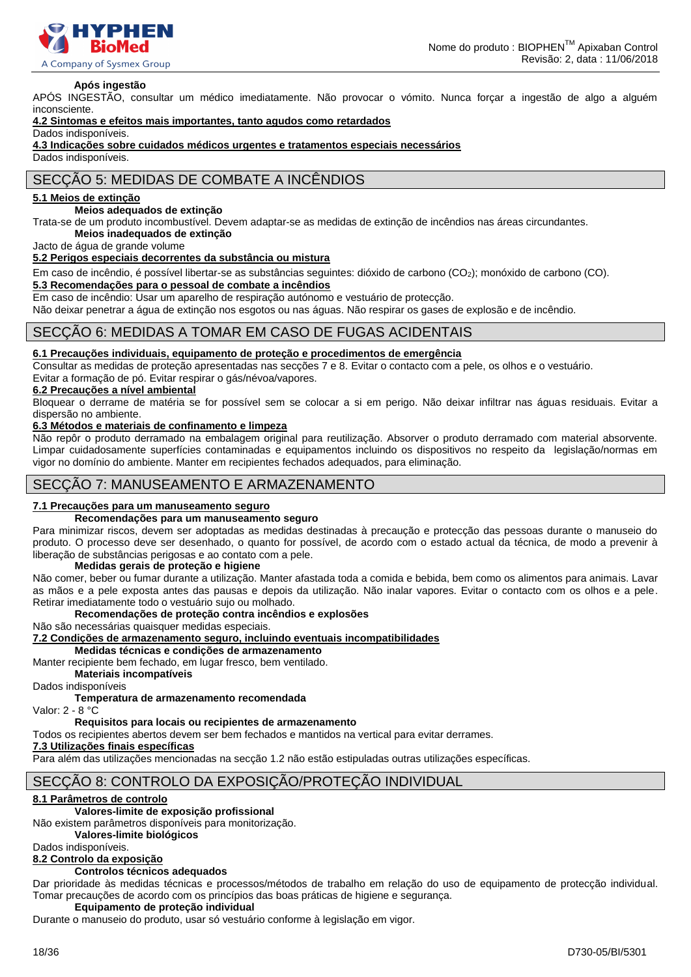

#### **Após ingestão**

APÓS INGESTÃO, consultar um médico imediatamente. Não provocar o vómito. Nunca forçar a ingestão de algo a alguém inconsciente.

### **4.2 Sintomas e efeitos mais importantes, tanto agudos como retardados**

Dados indisponíveis.

**4.3 Indicações sobre cuidados médicos urgentes e tratamentos especiais necessários**

Dados indisponíveis.

### SECÇÃO 5: MEDIDAS DE COMBATE A INCÊNDIOS

### **5.1 Meios de extinção**

### **Meios adequados de extinção**

Trata-se de um produto incombustível. Devem adaptar-se as medidas de extinção de incêndios nas áreas circundantes. **Meios inadequados de extinção**

Jacto de água de grande volume

#### **5.2 Perigos especiais decorrentes da substância ou mistura**

Em caso de incêndio, é possível libertar-se as substâncias seguintes: dióxido de carbono (CO2); monóxido de carbono (CO).

### **5.3 Recomendações para o pessoal de combate a incêndios**

Em caso de incêndio: Usar um aparelho de respiração autónomo e vestuário de protecção.

Não deixar penetrar a água de extinção nos esgotos ou nas águas. Não respirar os gases de explosão e de incêndio.

### SECÇÃO 6: MEDIDAS A TOMAR EM CASO DE FUGAS ACIDENTAIS

### **6.1 Precauções individuais, equipamento de proteção e procedimentos de emergência**

Consultar as medidas de proteção apresentadas nas secções 7 e 8. Evitar o contacto com a pele, os olhos e o vestuário. Evitar a formação de pó. Evitar respirar o gás/névoa/vapores.

### **6.2 Precauções a nível ambiental**

Bloquear o derrame de matéria se for possível sem se colocar a si em perigo. Não deixar infiltrar nas águas residuais. Evitar a dispersão no ambiente.

### **6.3 Métodos e materiais de confinamento e limpeza**

Não repôr o produto derramado na embalagem original para reutilização. Absorver o produto derramado com material absorvente. Limpar cuidadosamente superfícies contaminadas e equipamentos incluindo os dispositivos no respeito da legislação/normas em vigor no domínio do ambiente. Manter em recipientes fechados adequados, para eliminação.

### SECÇÃO 7: MANUSEAMENTO E ARMAZENAMENTO

### **7.1 Precauções para um manuseamento seguro**

### **Recomendações para um manuseamento seguro**

Para minimizar riscos, devem ser adoptadas as medidas destinadas à precaução e protecção das pessoas durante o manuseio do produto. O processo deve ser desenhado, o quanto for possível, de acordo com o estado actual da técnica, de modo a prevenir à liberação de substâncias perigosas e ao contato com a pele.

#### **Medidas gerais de proteção e higiene**

Não comer, beber ou fumar durante a utilização. Manter afastada toda a comida e bebida, bem como os alimentos para animais. Lavar as mãos e a pele exposta antes das pausas e depois da utilização. Não inalar vapores. Evitar o contacto com os olhos e a pele. Retirar imediatamente todo o vestuário sujo ou molhado.

### **Recomendações de proteção contra incêndios e explosões**

Não são necessárias quaisquer medidas especiais.

### **7.2 Condições de armazenamento seguro, incluindo eventuais incompatibilidades**

**Medidas técnicas e condições de armazenamento**

Manter recipiente bem fechado, em lugar fresco, bem ventilado.

**Materiais incompatíveis**

Dados indisponíveis

### **Temperatura de armazenamento recomendada**

Valor: 2 - 8 °C

### **Requisitos para locais ou recipientes de armazenamento**

Todos os recipientes abertos devem ser bem fechados e mantidos na vertical para evitar derrames.

#### **7.3 Utilizações finais específicas**

Para além das utilizações mencionadas na secção 1.2 não estão estipuladas outras utilizações específicas.

### SECÇÃO 8: CONTROLO DA EXPOSIÇÃO/PROTEÇÃO INDIVIDUAL

### **8.1 Parâmetros de controlo**

### **Valores-limite de exposição profissional**

Não existem parâmetros disponíveis para monitorização.

**Valores-limite biológicos** 

Dados indisponíveis.

### **8.2 Controlo da exposição**

### **Controlos técnicos adequados**

Dar prioridade às medidas técnicas e processos/métodos de trabalho em relação do uso de equipamento de protecção individual. Tomar precauções de acordo com os princípios das boas práticas de higiene e segurança.

### **Equipamento de proteção individual**

Durante o manuseio do produto, usar só vestuário conforme à legislação em vigor.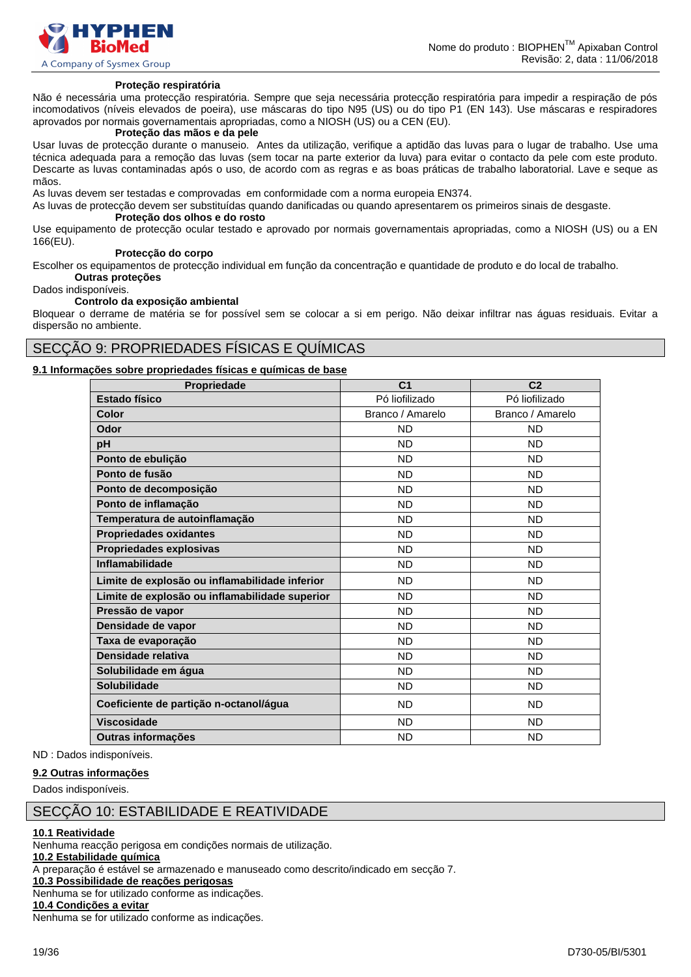

#### **Proteção respiratória**

Não é necessária uma protecção respiratória. Sempre que seja necessária protecção respiratória para impedir a respiração de pós incomodativos (níveis elevados de poeira), use máscaras do tipo N95 (US) ou do tipo P1 (EN 143). Use máscaras e respiradores aprovados por normais governamentais apropriadas, como a NIOSH (US) ou a CEN (EU).

### **Proteção das mãos e da pele**

Usar luvas de protecção durante o manuseio. Antes da utilização, verifique a aptidão das luvas para o lugar de trabalho. Use uma técnica adequada para a remoção das luvas (sem tocar na parte exterior da luva) para evitar o contacto da pele com este produto. Descarte as luvas contaminadas após o uso, de acordo com as regras e as boas práticas de trabalho laboratorial. Lave e seque as mãos.

As luvas devem ser testadas e comprovadas em conformidade com a norma europeia EN374.

As luvas de protecção devem ser substituídas quando danificadas ou quando apresentarem os primeiros sinais de desgaste.

### **Proteção dos olhos e do rosto**

Use equipamento de protecção ocular testado e aprovado por normais governamentais apropriadas, como a NIOSH (US) ou a EN 166(EU).

#### **Protecção do corpo**

Escolher os equipamentos de protecção individual em função da concentração e quantidade de produto e do local de trabalho. **Outras proteções**

Dados indisponíveis.

#### **Controlo da exposição ambiental**

Bloquear o derrame de matéria se for possível sem se colocar a si em perigo. Não deixar infiltrar nas águas residuais. Evitar a dispersão no ambiente.

### SECÇÃO 9: PROPRIEDADES FÍSICAS E QUÍMICAS

### **9.1 Informações sobre propriedades físicas e químicas de base**

| Propriedade                                    | C <sub>1</sub>   | C <sub>2</sub>   |
|------------------------------------------------|------------------|------------------|
| Estado físico                                  | Pó liofilizado   | Pó liofilizado   |
| Color                                          | Branco / Amarelo | Branco / Amarelo |
| Odor                                           | <b>ND</b>        | <b>ND</b>        |
| pH                                             | <b>ND</b>        | ND.              |
| Ponto de ebulição                              | <b>ND</b>        | <b>ND</b>        |
| Ponto de fusão                                 | <b>ND</b>        | ND.              |
| Ponto de decomposição                          | <b>ND</b>        | <b>ND</b>        |
| Ponto de inflamação                            | <b>ND</b>        | <b>ND</b>        |
| Temperatura de autoinflamação                  | <b>ND</b>        | <b>ND</b>        |
| <b>Propriedades oxidantes</b>                  | <b>ND</b>        | <b>ND</b>        |
| Propriedades explosivas                        | <b>ND</b>        | ND.              |
| Inflamabilidade                                | <b>ND</b>        | <b>ND</b>        |
| Limite de explosão ou inflamabilidade inferior | <b>ND</b>        | <b>ND</b>        |
| Limite de explosão ou inflamabilidade superior | <b>ND</b>        | <b>ND</b>        |
| Pressão de vapor                               | <b>ND</b>        | <b>ND</b>        |
| Densidade de vapor                             | <b>ND</b>        | ND.              |
| Taxa de evaporação                             | <b>ND</b>        | <b>ND</b>        |
| Densidade relativa                             | <b>ND</b>        | <b>ND</b>        |
| Solubilidade em água                           | <b>ND</b>        | <b>ND</b>        |
| Solubilidade                                   | <b>ND</b>        | <b>ND</b>        |
| Coeficiente de partição n-octanol/água         | <b>ND</b>        | ND.              |
| <b>Viscosidade</b>                             | <b>ND</b>        | <b>ND</b>        |
| Outras informações                             | <b>ND</b>        | <b>ND</b>        |

ND : Dados indisponíveis.

### **9.2 Outras informações**

Dados indisponíveis.

### SECÇÃO 10: ESTABILIDADE E REATIVIDADE

#### **10.1 Reatividade**

Nenhuma reacção perigosa em condições normais de utilização.

**10.2 Estabilidade química**

A preparação é estável se armazenado e manuseado como descrito/indicado em secção 7.

### **10.3 Possibilidade de reações perigosas**

Nenhuma se for utilizado conforme as indicações.

### **10.4 Condições a evitar**

Nenhuma se for utilizado conforme as indicações.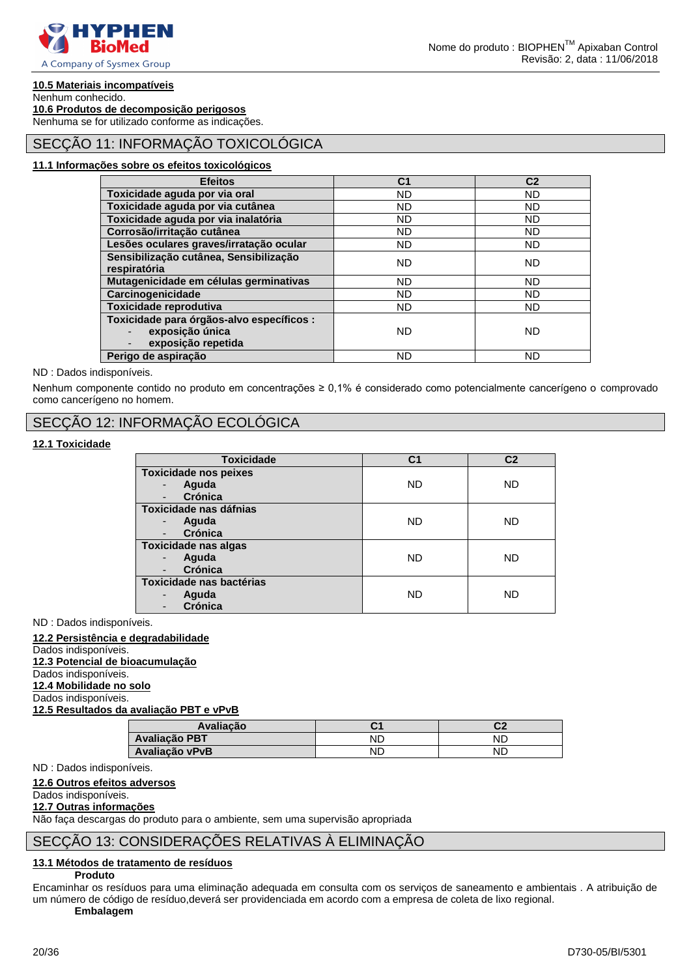

### **10.5 Materiais incompatíveis**

Nenhum conhecido.

**10.6 Produtos de decomposição perigosos**

Nenhuma se for utilizado conforme as indicações.

### SECÇÃO 11: INFORMAÇÃO TOXICOLÓGICA

### **11.1 Informações sobre os efeitos toxicológicos**

| <b>Efeitos</b>                                                                     | C <sub>1</sub> | C <sub>2</sub> |
|------------------------------------------------------------------------------------|----------------|----------------|
| Toxicidade aguda por via oral                                                      | <b>ND</b>      | <b>ND</b>      |
| Toxicidade aguda por via cutânea                                                   | <b>ND</b>      | <b>ND</b>      |
| Toxicidade aguda por via inalatória                                                | <b>ND</b>      | <b>ND</b>      |
| Corrosão/irritação cutânea                                                         | <b>ND</b>      | <b>ND</b>      |
| Lesões oculares graves/irratação ocular                                            | <b>ND</b>      | <b>ND</b>      |
| Sensibilização cutânea, Sensibilização<br>respiratória                             | <b>ND</b>      | <b>ND</b>      |
| Mutagenicidade em células germinativas                                             | <b>ND</b>      | <b>ND</b>      |
| Carcinogenicidade                                                                  | <b>ND</b>      | <b>ND</b>      |
| Toxicidade reprodutiva                                                             | <b>ND</b>      | ND.            |
| Toxicidade para órgãos-alvo específicos :<br>exposição única<br>exposição repetida | <b>ND</b>      | <b>ND</b>      |
| Perigo de aspiração                                                                | ND             | ND             |

### ND : Dados indisponíveis.

Nenhum componente contido no produto em concentrações ≥ 0,1% é considerado como potencialmente cancerígeno o comprovado como cancerígeno no homem.

### SECÇÃO 12: INFORMAÇÃO ECOLÓGICA

### **12.1 Toxicidade**

| <b>Toxicidade</b>                                                            | C1        | C <sub>2</sub> |
|------------------------------------------------------------------------------|-----------|----------------|
| <b>Toxicidade nos peixes</b><br>Aguda<br>Crónica<br>$\overline{\phantom{a}}$ | <b>ND</b> | <b>ND</b>      |
| Toxicidade nas dáfnias<br>Aguda<br>Crónica                                   | <b>ND</b> | <b>ND</b>      |
| <b>Toxicidade nas algas</b><br>Aguda<br>Crónica                              | ND        | ND             |
| Toxicidade nas bactérias<br>Aguda<br><b>Crónica</b>                          | <b>ND</b> | <b>ND</b>      |

ND : Dados indisponíveis.

### **12.2 Persistência e degradabilidade**

Dados indisponíveis. **12.3 Potencial de bioacumulação**

Dados indisponíveis.

**12.4 Mobilidade no solo**

Dados indisponíveis.

**12.5 Resultados da avaliação PBT e vPvB**

| Avaliacão            | ັ  | rn<br>◡▵ |
|----------------------|----|----------|
| <b>Avaliação PBT</b> | ΝD | NĽ       |
| Avaliação vPvB       | ΝD | ND       |

ND : Dados indisponíveis.

#### **12.6 Outros efeitos adversos**

### Dados indisponíveis.

**12.7 Outras informações**

Não faça descargas do produto para o ambiente, sem uma supervisão apropriada

### SECÇÃO 13: CONSIDERAÇÕES RELATIVAS À ELIMINAÇÃO

### **13.1 Métodos de tratamento de resíduos**

**Produto**

Encaminhar os resíduos para uma eliminação adequada em consulta com os serviços de saneamento e ambientais . A atribuição de um número de código de resíduo,deverá ser providenciada em acordo com a empresa de coleta de lixo regional.

**Embalagem**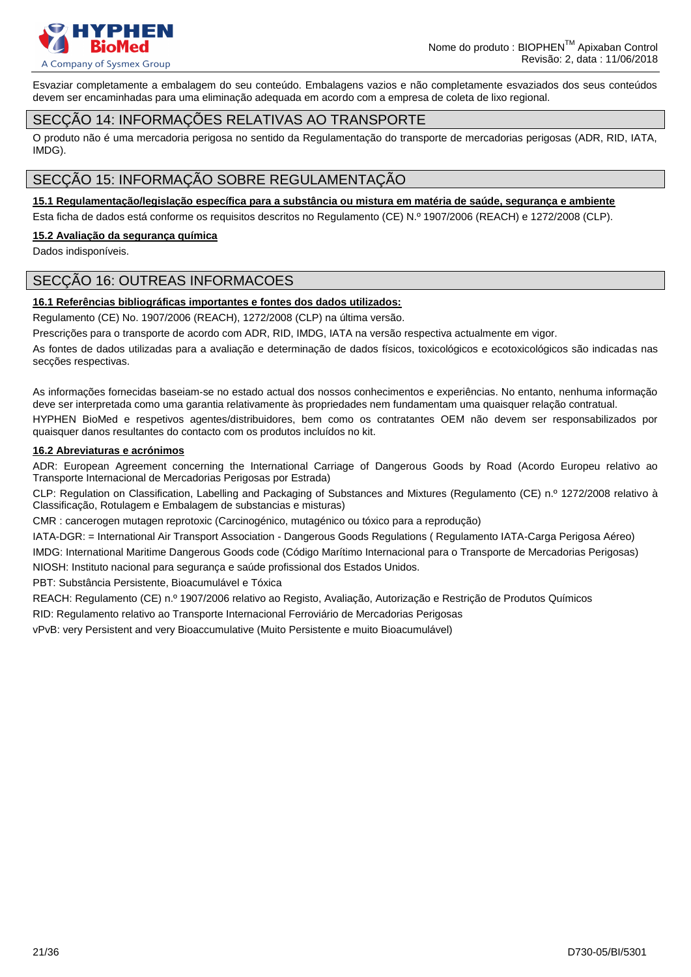

Esvaziar completamente a embalagem do seu conteúdo. Embalagens vazios e não completamente esvaziados dos seus conteúdos devem ser encaminhadas para uma eliminação adequada em acordo com a empresa de coleta de lixo regional.

### SECÇÃO 14: INFORMAÇÕES RELATIVAS AO TRANSPORTE

O produto não é uma mercadoria perigosa no sentido da Regulamentação do transporte de mercadorias perigosas (ADR, RID, IATA, IMDG).

### SECÇÃO 15: INFORMAÇÃO SOBRE REGULAMENTAÇÃO

### **15.1 Regulamentação/legislação específica para a substância ou mistura em matéria de saúde, segurança e ambiente**

Esta ficha de dados está conforme os requisitos descritos no Regulamento (CE) N.º 1907/2006 (REACH) e 1272/2008 (CLP).

### **15.2 Avaliação da segurança química**

Dados indisponíveis.

### SECÇÃO 16: OUTREAS INFORMACOES

### **16.1 Referências bibliográficas importantes e fontes dos dados utilizados:**

Regulamento (CE) No. 1907/2006 (REACH), 1272/2008 (CLP) na última versão.

Prescrições para o transporte de acordo com ADR, RID, IMDG, IATA na versão respectiva actualmente em vigor.

As fontes de dados utilizadas para a avaliação e determinação de dados físicos, toxicológicos e ecotoxicológicos são indicadas nas secções respectivas.

As informações fornecidas baseiam-se no estado actual dos nossos conhecimentos e experiências. No entanto, nenhuma informação deve ser interpretada como uma garantia relativamente às propriedades nem fundamentam uma quaisquer relação contratual. HYPHEN BioMed e respetivos agentes/distribuidores, bem como os contratantes OEM não devem ser responsabilizados por quaisquer danos resultantes do contacto com os produtos incluídos no kit.

### **16.2 Abreviaturas e acrónimos**

ADR: European Agreement concerning the International Carriage of Dangerous Goods by Road (Acordo Europeu relativo ao Transporte Internacional de Mercadorias Perigosas por Estrada)

CLP: Regulation on Classification, Labelling and Packaging of Substances and Mixtures (Regulamento (CE) n.º 1272/2008 relativo à Classificação, Rotulagem e Embalagem de substancias e misturas)

CMR : cancerogen mutagen reprotoxic (Carcinogénico, mutagénico ou tóxico para a reprodução)

IATA-DGR: = International Air Transport Association - Dangerous Goods Regulations ( Regulamento IATA-Carga Perigosa Aéreo)

IMDG: International Maritime Dangerous Goods code (Código Marítimo Internacional para o Transporte de Mercadorias Perigosas) NIOSH: Instituto nacional para segurança e saúde profissional dos Estados Unidos.

PBT: Substância Persistente, Bioacumulável e Tóxica

REACH: Regulamento (CE) n.º 1907/2006 relativo ao Registo, Avaliação, Autorização e Restrição de Produtos Químicos

RID: Regulamento relativo ao Transporte Internacional Ferroviário de Mercadorias Perigosas

vPvB: very Persistent and very Bioaccumulative (Muito Persistente e muito Bioacumulável)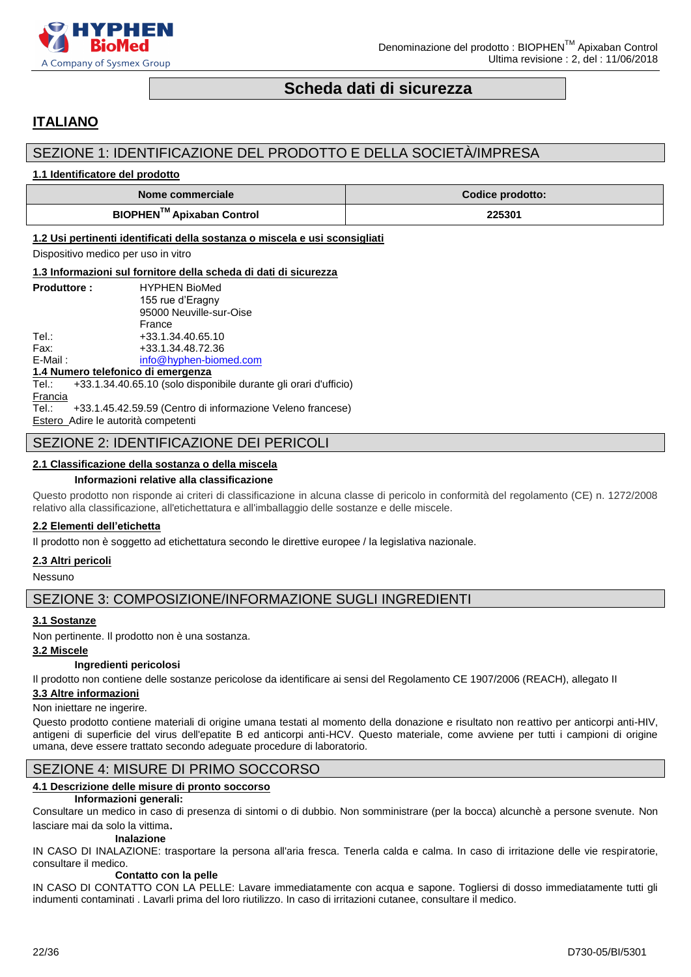

### **Scheda dati di sicurezza**

### <span id="page-21-0"></span>**ITALIANO**

### SEZIONE 1: IDENTIFICAZIONE DEL PRODOTTO E DELLA SOCIETÀ/IMPRESA

### **1.1 Identificatore del prodotto**

| Nome commerciale                      | <b>Codice prodotto:</b> |
|---------------------------------------|-------------------------|
| BIOPHEN <sup>™</sup> Apixaban Control | 225301                  |

### **1.2 Usi pertinenti identificati della sostanza o miscela e usi sconsigliati**

Dispositivo medico per uso in vitro

### **1.3 Informazioni sul fornitore della scheda di dati di sicurezza**

| <b>Produttore:</b> | <b>HYPHEN BioMed</b>    |
|--------------------|-------------------------|
|                    | 155 rue d'Eragny        |
|                    | 95000 Neuville-sur-Oise |
|                    | France                  |
| Tel∴               | +33.1.34.40.65.10       |
| Fax:               | +33.1.34.48.72.36       |
| $E$ -Mail:         | info@hyphen-biomed.com  |
|                    |                         |

#### **1.4 Numero telefonico di emergenza**

Tel.: +33.1.34.40.65.10 (solo disponibile durante gli orari d'ufficio) **Francia** Tel.: +33.1.45.42.59.59 (Centro di informazione Veleno francese)

Estero Adire le autorità competenti

### SEZIONE 2: IDENTIFICAZIONE DEI PERICOLI

### **2.1 Classificazione della sostanza o della miscela**

### **Informazioni relative alla classificazione**

Questo prodotto non risponde ai criteri di classificazione in alcuna classe di pericolo in conformità del regolamento (CE) n. 1272/2008 relativo alla classificazione, all'etichettatura e all'imballaggio delle sostanze e delle miscele.

### **2.2 Elementi dell'etichetta**

Il prodotto non è soggetto ad etichettatura secondo le direttive europee / la legislativa nazionale.

### **2.3 Altri pericoli**

Nessuno

### SEZIONE 3: COMPOSIZIONE/INFORMAZIONE SUGLI INGREDIENTI

### **3.1 Sostanze**

Non pertinente. Il prodotto non è una sostanza.

### **3.2 Miscele**

### **Ingredienti pericolosi**

Il prodotto non contiene delle sostanze pericolose da identificare ai sensi del Regolamento CE 1907/2006 (REACH), allegato II

### **3.3 Altre informazioni**

### Non iniettare ne ingerire.

Questo prodotto contiene materiali di origine umana testati al momento della donazione e risultato non reattivo per anticorpi anti-HIV, antigeni di superficie del virus dell'epatite B ed anticorpi anti-HCV. Questo materiale, come avviene per tutti i campioni di origine umana, deve essere trattato secondo adeguate procedure di laboratorio.

### SEZIONE 4: MISURE DI PRIMO SOCCORSO

### **4.1 Descrizione delle misure di pronto soccorso**

### **Informazioni generali:**

Consultare un medico in caso di presenza di sintomi o di dubbio. Non somministrare (per la bocca) alcunchè a persone svenute. Non lasciare mai da solo la vittima.

### **Inalazione**

IN CASO DI INALAZIONE: trasportare la persona all'aria fresca. Tenerla calda e calma. In caso di irritazione delle vie respiratorie, consultare il medico.

### **Contatto con la pelle**

IN CASO DI CONTATTO CON LA PELLE: Lavare immediatamente con acqua e sapone. Togliersi di dosso immediatamente tutti gli indumenti contaminati . Lavarli prima del loro riutilizzo. In caso di irritazioni cutanee, consultare il medico.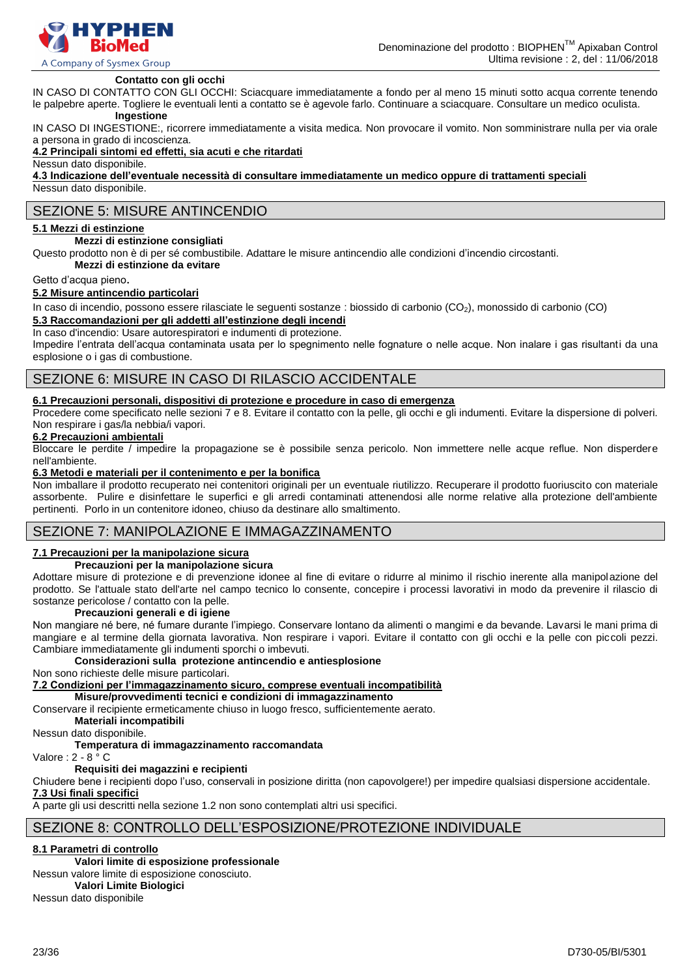

### **Contatto con gli occhi**

IN CASO DI CONTATTO CON GLI OCCHI: Sciacquare immediatamente a fondo per al meno 15 minuti sotto acqua corrente tenendo le palpebre aperte. Togliere le eventuali lenti a contatto se è agevole farlo. Continuare a sciacquare. Consultare un medico oculista.

### **Ingestione**

IN CASO DI INGESTIONE:, ricorrere immediatamente a visita medica. Non provocare il vomito. Non somministrare nulla per via orale a persona in grado di incoscienza.

### **4.2 Principali sintomi ed effetti, sia acuti e che ritardati**

Nessun dato disponibile.

**4.3 Indicazione dell'eventuale necessità di consultare immediatamente un medico oppure di trattamenti speciali** Nessun dato disponibile.

### SEZIONE 5: MISURE ANTINCENDIO

### **5.1 Mezzi di estinzione**

#### **Mezzi di estinzione consigliati**

Questo prodotto non è di per sé combustibile. Adattare le misure antincendio alle condizioni d'incendio circostanti.

**Mezzi di estinzione da evitare**

#### Getto d'acqua pieno.

### **5.2 Misure antincendio particolari**

In caso di incendio, possono essere rilasciate le seguenti sostanze : biossido di carbonio (CO<sub>2</sub>), monossido di carbonio (CO) **5.3 Raccomandazioni per gli addetti all'estinzione degli incendi**

In caso d'incendio: Usare autorespiratori e indumenti di protezione.

Impedire l'entrata dell'acqua contaminata usata per lo spegnimento nelle fognature o nelle acque. Non inalare i gas risultanti da una esplosione o i gas di combustione.

### SEZIONE 6: MISURE IN CASO DI RILASCIO ACCIDENTALE

### **6.1 Precauzioni personali, dispositivi di protezione e procedure in caso di emergenza**

Procedere come specificato nelle sezioni 7 e 8. Evitare il contatto con la pelle, gli occhi e gli indumenti. Evitare la dispersione di polveri. Non respirare i gas/la nebbia/i vapori.

### **6.2 Precauzioni ambientali**

Bloccare le perdite / impedire la propagazione se è possibile senza pericolo. Non immettere nelle acque reflue. Non disperdere nell'ambiente.

#### **6.3 Metodi e materiali per il contenimento e per la bonifica**

Non imballare il prodotto recuperato nei contenitori originali per un eventuale riutilizzo. Recuperare il prodotto fuoriuscito con materiale assorbente. Pulire e disinfettare le superfici e gli arredi contaminati attenendosi alle norme relative alla protezione dell'ambiente pertinenti. Porlo in un contenitore idoneo, chiuso da destinare allo smaltimento.

### SEZIONE 7: MANIPOLAZIONE E IMMAGAZZINAMENTO

### **7.1 Precauzioni per la manipolazione sicura**

### **Precauzioni per la manipolazione sicura**

Adottare misure di protezione e di prevenzione idonee al fine di evitare o ridurre al minimo il rischio inerente alla manipolazione del prodotto. Se l'attuale stato dell'arte nel campo tecnico lo consente, concepire i processi lavorativi in modo da prevenire il rilascio di sostanze pericolose / contatto con la pelle.

#### **Precauzioni generali e di igiene**

Non mangiare né bere, né fumare durante l'impiego. Conservare lontano da alimenti o mangimi e da bevande. Lavarsi le mani prima di mangiare e al termine della giornata lavorativa. Non respirare i vapori. Evitare il contatto con gli occhi e la pelle con piccoli pezzi. Cambiare immediatamente gli indumenti sporchi o imbevuti.

### **Considerazioni sulla protezione antincendio e antiesplosione**

Non sono richieste delle misure particolari.

**7.2 Condizioni per l'immagazzinamento sicuro, comprese eventuali incompatibilità**

**Misure/provvedimenti tecnici e condizioni di immagazzinamento**

Conservare il recipiente ermeticamente chiuso in luogo fresco, sufficientemente aerato.

**Materiali incompatibili**

Nessun dato disponibile.

### **Temperatura di immagazzinamento raccomandata**

Valore : 2 - 8 ° C

### **Requisiti dei magazzini e recipienti**

Chiudere bene i recipienti dopo l'uso, conservali in posizione diritta (non capovolgere!) per impedire qualsiasi dispersione accidentale. **7.3 Usi finali specifici**

A parte gli usi descritti nella sezione 1.2 non sono contemplati altri usi specifici.

### SEZIONE 8: CONTROLLO DELL'ESPOSIZIONE/PROTEZIONE INDIVIDUALE

### **8.1 Parametri di controllo**

### **Valori limite di esposizione professionale**

Nessun valore limite di esposizione conosciuto.

**Valori Limite Biologici**

Nessun dato disponibile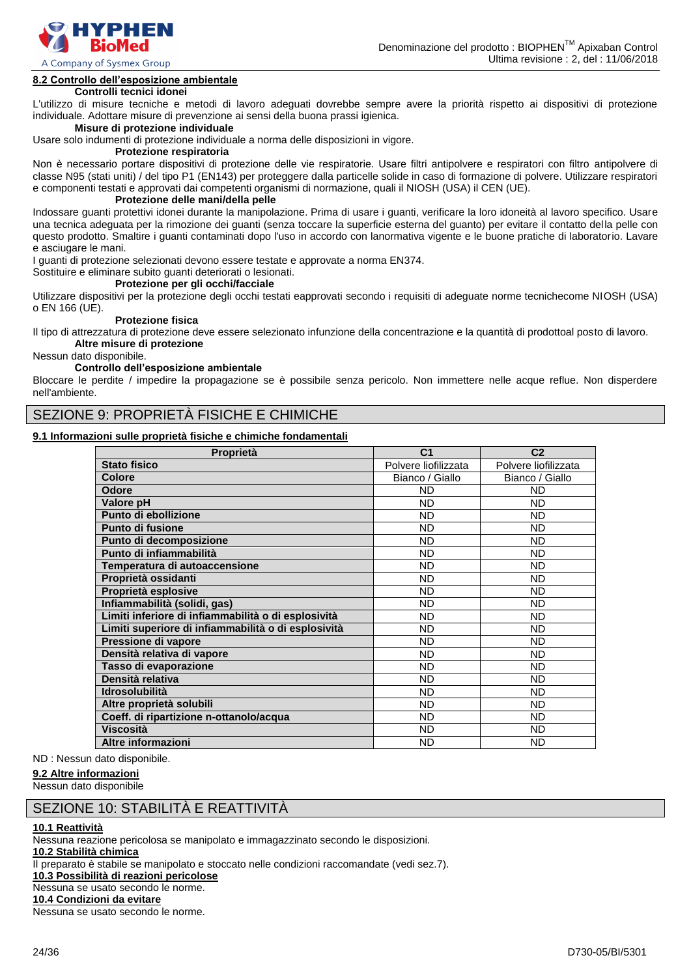

### **8.2 Controllo dell'esposizione ambientale**

### **Controlli tecnici idonei**

L'utilizzo di misure tecniche e metodi di lavoro adeguati dovrebbe sempre avere la priorità rispetto ai dispositivi di protezione individuale. Adottare misure di prevenzione ai sensi della buona prassi igienica.

### **Misure di protezione individuale**

Usare solo indumenti di protezione individuale a norma delle disposizioni in vigore.

### **Protezione respiratoria**

Non è necessario portare dispositivi di protezione delle vie respiratorie. Usare filtri antipolvere e respiratori con filtro antipolvere di classe N95 (stati uniti) / del tipo P1 (EN143) per proteggere dalla particelle solide in caso di formazione di polvere. Utilizzare respiratori e componenti testati e approvati dai competenti organismi di normazione, quali il NIOSH (USA) il CEN (UE).

### **Protezione delle mani/della pelle**

Indossare guanti protettivi idonei durante la manipolazione. Prima di usare i guanti, verificare la loro idoneità al lavoro specifico. Usare una tecnica adeguata per la rimozione dei guanti (senza toccare la superficie esterna del guanto) per evitare il contatto della pelle con questo prodotto. Smaltire i guanti contaminati dopo l'uso in accordo con lanormativa vigente e le buone pratiche di laboratorio. Lavare e asciugare le mani.

I guanti di protezione selezionati devono essere testate e approvate a norma EN374.

Sostituire e eliminare subito guanti deteriorati o lesionati.

### **Protezione per gli occhi/facciale**

Utilizzare dispositivi per la protezione degli occhi testati eapprovati secondo i requisiti di adeguate norme tecnichecome NIOSH (USA) o EN 166 (UE).

#### **Protezione fisica**

Il tipo di attrezzatura di protezione deve essere selezionato infunzione della concentrazione e la quantità di prodottoal posto di lavoro. **Altre misure di protezione**

Nessun dato disponibile.

### **Controllo dell'esposizione ambientale**

Bloccare le perdite / impedire la propagazione se è possibile senza pericolo. Non immettere nelle acque reflue. Non disperdere nell'ambiente.

### SEZIONE 9: PROPRIETÀ FISICHE E CHIMICHE

### **9.1 Informazioni sulle proprietà fisiche e chimiche fondamentali**

| Proprietà                                           | C <sub>1</sub>       | C <sub>2</sub>       |
|-----------------------------------------------------|----------------------|----------------------|
| <b>Stato fisico</b>                                 | Polvere liofilizzata | Polvere liofilizzata |
| <b>Colore</b>                                       | Bianco / Giallo      | Bianco / Giallo      |
| <b>Odore</b>                                        | <b>ND</b>            | <b>ND</b>            |
| Valore pH                                           | <b>ND</b>            | <b>ND</b>            |
| Punto di ebollizione                                | <b>ND</b>            | <b>ND</b>            |
| <b>Punto di fusione</b>                             | <b>ND</b>            | <b>ND</b>            |
| Punto di decomposizione                             | <b>ND</b>            | <b>ND</b>            |
| Punto di infiammabilità                             | <b>ND</b>            | <b>ND</b>            |
| Temperatura di autoaccensione                       | <b>ND</b>            | <b>ND</b>            |
| Proprietà ossidanti                                 | <b>ND</b>            | <b>ND</b>            |
| Proprietà esplosive                                 | <b>ND</b>            | <b>ND</b>            |
| Infiammabilità (solidi, gas)                        | <b>ND</b>            | <b>ND</b>            |
| Limiti inferiore di infiammabilità o di esplosività | <b>ND</b>            | <b>ND</b>            |
| Limiti superiore di infiammabilità o di esplosività | <b>ND</b>            | <b>ND</b>            |
| Pressione di vapore                                 | <b>ND</b>            | <b>ND</b>            |
| Densità relativa di vapore                          | <b>ND</b>            | <b>ND</b>            |
| Tasso di evaporazione                               | <b>ND</b>            | <b>ND</b>            |
| Densità relativa                                    | <b>ND</b>            | <b>ND</b>            |
| <b>Idrosolubilità</b>                               | <b>ND</b>            | <b>ND</b>            |
| Altre proprietà solubili                            | <b>ND</b>            | <b>ND</b>            |
| Coeff. di ripartizione n-ottanolo/acqua             | <b>ND</b>            | <b>ND</b>            |
| <b>Viscosità</b>                                    | <b>ND</b>            | <b>ND</b>            |
| Altre informazioni                                  | <b>ND</b>            | <b>ND</b>            |

ND : Nessun dato disponibile.

### **9.2 Altre informazioni**

Nessun dato disponibile

### SEZIONE 10: STABILITÀ E REATTIVITÀ

#### **10.1 Reattività**

Nessuna reazione pericolosa se manipolato e immagazzinato secondo le disposizioni. **10.2 Stabilità chimica** Il preparato è stabile se manipolato e stoccato nelle condizioni raccomandate (vedi sez.7). **10.3 Possibilità di reazioni pericolose** Nessuna se usato secondo le norme. **10.4 Condizioni da evitare**

Nessuna se usato secondo le norme.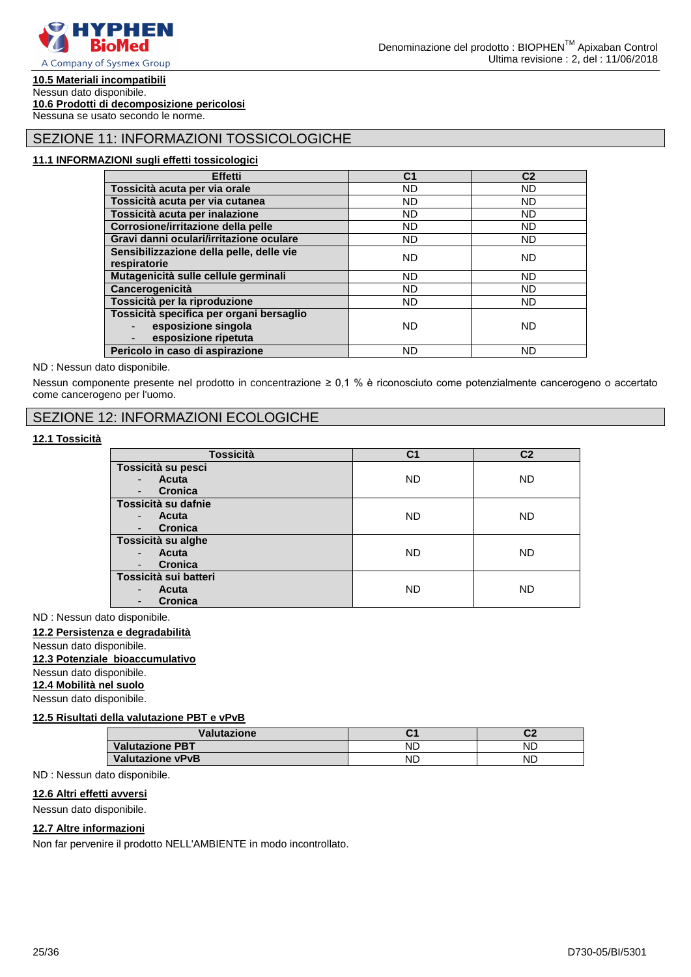

### **10.5 Materiali incompatibili**

Nessun dato disponibile. **10.6 Prodotti di decomposizione pericolosi**

Nessuna se usato secondo le norme.

### SEZIONE 11: INFORMAZIONI TOSSICOLOGICHE

### **11.1 INFORMAZIONI sugli effetti tossicologici**

| <b>Effetti</b>                           | C <sub>1</sub> | C <sub>2</sub> |
|------------------------------------------|----------------|----------------|
| Tossicità acuta per via orale            | <b>ND</b>      | ND.            |
| Tossicità acuta per via cutanea          | <b>ND</b>      | <b>ND</b>      |
| Tossicità acuta per inalazione           | <b>ND</b>      | <b>ND</b>      |
| Corrosione/irritazione della pelle       | <b>ND</b>      | <b>ND</b>      |
| Gravi danni oculari/irritazione oculare  | ND.            | <b>ND</b>      |
| Sensibilizzazione della pelle, delle vie | <b>ND</b>      | <b>ND</b>      |
| respiratorie                             |                |                |
| Mutagenicità sulle cellule germinali     | <b>ND</b>      | <b>ND</b>      |
| Cancerogenicità                          | <b>ND</b>      | ND             |
| Tossicità per la riproduzione            | ND.            | <b>ND</b>      |
| Tossicità specifica per organi bersaglio |                |                |
| esposizione singola                      | ND.            | <b>ND</b>      |
| esposizione ripetuta                     |                |                |
| Pericolo in caso di aspirazione          | ND             | ND             |

ND : Nessun dato disponibile.

Nessun componente presente nel prodotto in concentrazione ≥ 0,1 % è riconosciuto come potenzialmente cancerogeno o accertato come cancerogeno per l'uomo.

### SEZIONE 12: INFORMAZIONI ECOLOGICHE

### **12.1 Tossicità**

| <b>Tossicità</b>                           | C <sub>1</sub> | C <sub>2</sub> |
|--------------------------------------------|----------------|----------------|
| Tossicità su pesci                         |                |                |
| Acuta<br>$\blacksquare$                    | <b>ND</b>      | <b>ND</b>      |
| <b>Cronica</b><br>$\overline{\phantom{a}}$ |                |                |
| Tossicità su dafnie                        |                |                |
| <b>Acuta</b><br>$\blacksquare$             | <b>ND</b>      | <b>ND</b>      |
| Cronica<br>$\overline{\phantom{a}}$        |                |                |
| Tossicità su alghe                         |                |                |
| Acuta<br>$\blacksquare$                    | <b>ND</b>      | ND             |
| <b>Cronica</b><br>$\overline{\phantom{a}}$ |                |                |
| Tossicità sui batteri                      |                |                |
| Acuta<br>$\blacksquare$                    | <b>ND</b>      | <b>ND</b>      |
| Cronica<br>$\overline{\phantom{a}}$        |                |                |

ND : Nessun dato disponibile.

### **12.2 Persistenza e degradabilità**

Nessun dato disponibile.

### **12.3 Potenziale bioaccumulativo**

Nessun dato disponibile.

**12.4 Mobilità nel suolo**

Nessun dato disponibile.

### **12.5 Risultati della valutazione PBT e vPvB**

| Valutazione             | ີ         | ^'<br>$\mathbf{v}$ |
|-------------------------|-----------|--------------------|
| <b>Valutazione PBT</b>  | ND        | ΝD                 |
| <b>Valutazione vPvB</b> | <b>ND</b> | ND                 |

#### ND : Nessun dato disponibile.

### **12.6 Altri effetti avversi**

Nessun dato disponibile.

### **12.7 Altre informazioni**

Non far pervenire il prodotto NELL'AMBIENTE in modo incontrollato.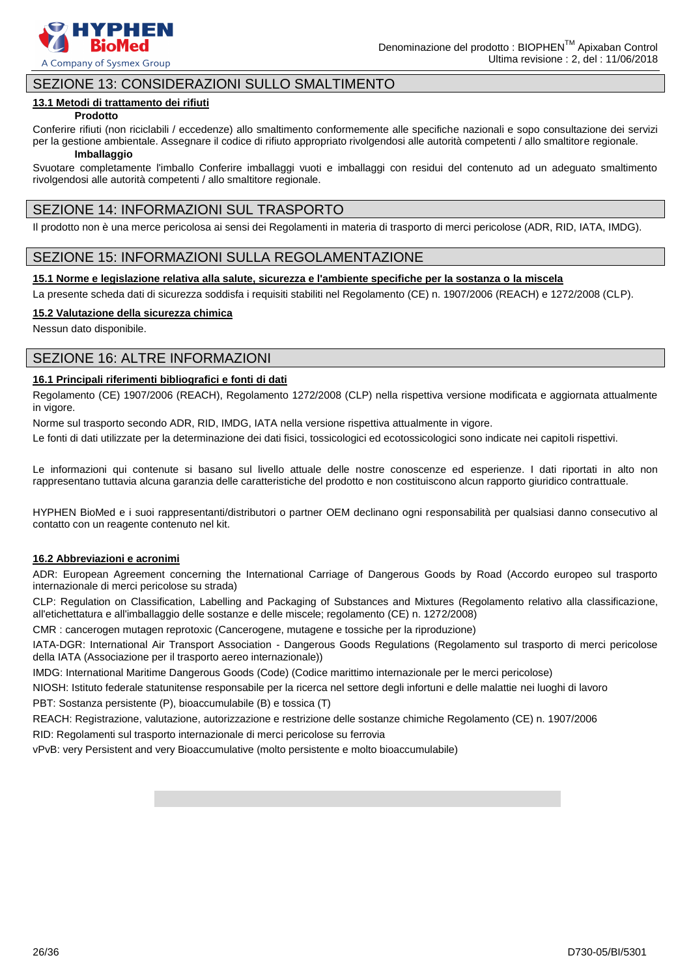

### SEZIONE 13: CONSIDERAZIONI SULLO SMALTIMENTO

### **13.1 Metodi di trattamento dei rifiuti**

### **Prodotto**

Conferire rifiuti (non riciclabili / eccedenze) allo smaltimento conformemente alle specifiche nazionali e sopo consultazione dei servizi per la gestione ambientale. Assegnare il codice di rifiuto appropriato rivolgendosi alle autorità competenti / allo smaltitore regionale.

### **Imballaggio**

Svuotare completamente l'imballo Conferire imballaggi vuoti e imballaggi con residui del contenuto ad un adeguato smaltimento rivolgendosi alle autorità competenti / allo smaltitore regionale.

### SEZIONE 14: INFORMAZIONI SUL TRASPORTO

Il prodotto non è una merce pericolosa ai sensi dei Regolamenti in materia di trasporto di merci pericolose (ADR, RID, IATA, IMDG).

### SEZIONE 15: INFORMAZIONI SULLA REGOLAMENTAZIONE

### **15.1 Norme e legislazione relativa alla salute, sicurezza e l'ambiente specifiche per la sostanza o la miscela**

La presente scheda dati di sicurezza soddisfa i requisiti stabiliti nel Regolamento (CE) n. 1907/2006 (REACH) e 1272/2008 (CLP).

### **15.2 Valutazione della sicurezza chimica**

Nessun dato disponibile.

### SEZIONE 16: ALTRE INFORMAZIONI

### **16.1 Principali riferimenti bibliografici e fonti di dati**

Regolamento (CE) 1907/2006 (REACH), Regolamento 1272/2008 (CLP) nella rispettiva versione modificata e aggiornata attualmente in vigore.

Norme sul trasporto secondo ADR, RID, IMDG, IATA nella versione rispettiva attualmente in vigore.

Le fonti di dati utilizzate per la determinazione dei dati fisici, tossicologici ed ecotossicologici sono indicate nei capitoli rispettivi.

Le informazioni qui contenute si basano sul livello attuale delle nostre conoscenze ed esperienze. I dati riportati in alto non rappresentano tuttavia alcuna garanzia delle caratteristiche del prodotto e non costituiscono alcun rapporto giuridico contrattuale.

HYPHEN BioMed e i suoi rappresentanti/distributori o partner OEM declinano ogni responsabilità per qualsiasi danno consecutivo al contatto con un reagente contenuto nel kit.

### **16.2 Abbreviazioni e acronimi**

ADR: European Agreement concerning the International Carriage of Dangerous Goods by Road (Accordo europeo sul trasporto internazionale di merci pericolose su strada)

CLP: Regulation on Classification, Labelling and Packaging of Substances and Mixtures (Regolamento relativo alla classificazione, all'etichettatura e all'imballaggio delle sostanze e delle miscele; regolamento (CE) n. 1272/2008)

CMR : cancerogen mutagen reprotoxic (Cancerogene, mutagene e tossiche per la riproduzione)

IATA-DGR: International Air Transport Association - Dangerous Goods Regulations (Regolamento sul trasporto di merci pericolose della IATA (Associazione per il trasporto aereo internazionale))

IMDG: International Maritime Dangerous Goods (Code) (Codice marittimo internazionale per le merci pericolose)

NIOSH: Istituto federale statunitense responsabile per la ricerca nel settore degli infortuni e delle malattie nei luoghi di lavoro PBT: Sostanza persistente (P), bioaccumulabile (B) e tossica (T)

REACH: Registrazione, valutazione, autorizzazione e restrizione delle sostanze chimiche Regolamento (CE) n. 1907/2006

RID: Regolamenti sul trasporto internazionale di merci pericolose su ferrovia

vPvB: very Persistent and very Bioaccumulative (molto persistente e molto bioaccumulabile)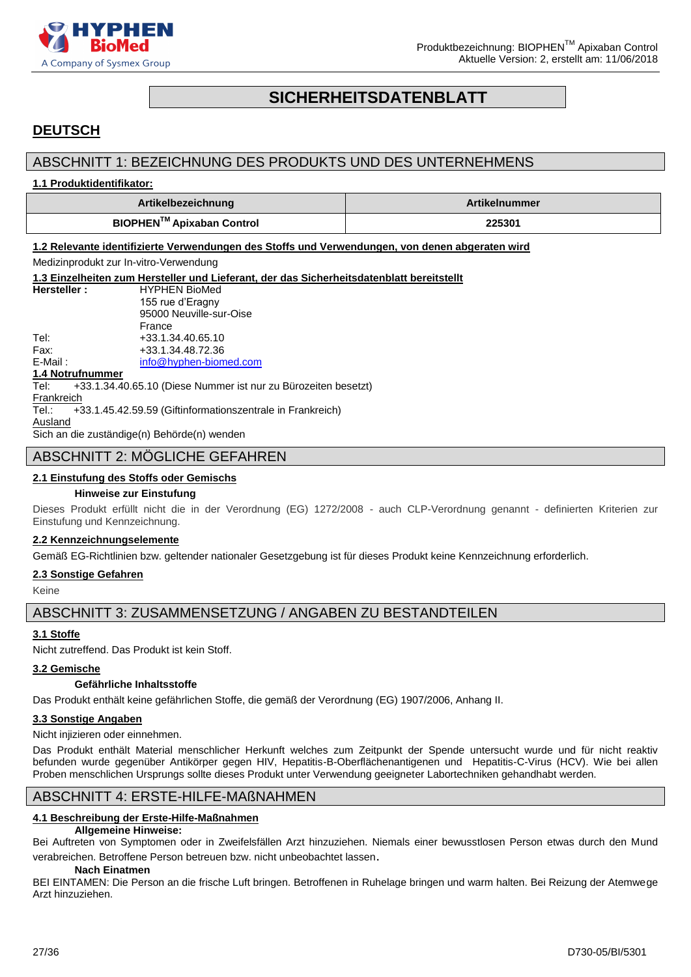

### **SICHERHEITSDATENBLATT**

### <span id="page-26-0"></span>**DEUTSCH**

### ABSCHNITT 1: BEZEICHNUNG DES PRODUKTS UND DES UNTERNEHMENS

### **1.1 Produktidentifikator:**

| Artikelbezeichnung                    | <b>Artikelnummer</b> |
|---------------------------------------|----------------------|
| BIOPHEN <sup>™</sup> Apixaban Control | 225301               |

**1.2 Relevante identifizierte Verwendungen des Stoffs und Verwendungen, von denen abgeraten wird**

Medizinprodukt zur In-vitro-Verwendung

**1.3 Einzelheiten zum Hersteller und Lieferant, der das Sicherheitsdatenblatt bereitstellt Hersteller :** HYPHEN BioMed 155 rue d'Eragny 95000 Neuville-sur-Oise France Tel: +33.1.34.40.65.10 Fax: +33.1.34.48.72.36 E-Mail: [info@hyphen-biomed.com](mailto:info@hyphen-biomed.com) **1.4 Notrufnummer** Tel: +33.1.34.40.65.10 (Diese Nummer ist nur zu Bürozeiten besetzt) **Frankreich** 

Tel.: +33.1.45.42.59.59 (Giftinformationszentrale in Frankreich)

**Ausland** Sich an die zuständige(n) Behörde(n) wenden

### ABSCHNITT 2: MOGLICHE GEFAHREN

### **2.1 Einstufung des Stoffs oder Gemischs**

### **Hinweise zur Einstufung**

Dieses Produkt erfüllt nicht die in der Verordnung (EG) 1272/2008 - auch CLP-Verordnung genannt - definierten Kriterien zur Einstufung und Kennzeichnung.

### **2.2 Kennzeichnungselemente**

Gemäß EG-Richtlinien bzw. geltender nationaler Gesetzgebung ist für dieses Produkt keine Kennzeichnung erforderlich.

### **2.3 Sonstige Gefahren**

Keine

ABSCHNITT 3: ZUSAMMENSETZUNG / ANGABEN ZU BESTANDTEILEN

### **3.1 Stoffe**

Nicht zutreffend. Das Produkt ist kein Stoff.

### **3.2 Gemische**

### **Gefährliche Inhaltsstoffe**

Das Produkt enthält keine gefährlichen Stoffe, die gemäß der Verordnung (EG) 1907/2006, Anhang II.

### **3.3 Sonstige Angaben**

Nicht injizieren oder einnehmen.

Das Produkt enthält Material menschlicher Herkunft welches zum Zeitpunkt der Spende untersucht wurde und für nicht reaktiv befunden wurde gegenüber Antikörper gegen HIV, Hepatitis-B-Oberflächenantigenen und Hepatitis-C-Virus (HCV). Wie bei allen Proben menschlichen Ursprungs sollte dieses Produkt unter Verwendung geeigneter Labortechniken gehandhabt werden.

### ABSCHNITT 4: ERSTE-HILFE-MAßNAHMEN

### **4.1 Beschreibung der Erste-Hilfe-Maßnahmen**

### **Allgemeine Hinweise:**

Bei Auftreten von Symptomen oder in Zweifelsfällen Arzt hinzuziehen. Niemals einer bewusstlosen Person etwas durch den Mund verabreichen. Betroffene Person betreuen bzw. nicht unbeobachtet lassen.

### **Nach Einatmen**

BEI EINTAMEN: Die Person an die frische Luft bringen. Betroffenen in Ruhelage bringen und warm halten. Bei Reizung der Atemwege Arzt hinzuziehen.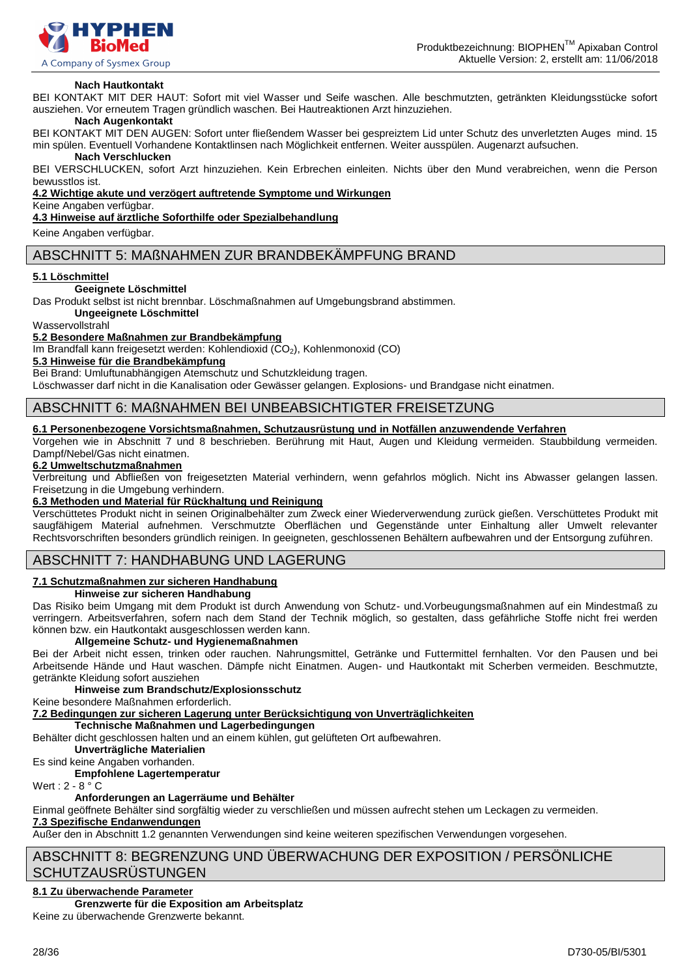

### **Nach Hautkontakt**

BEI KONTAKT MIT DER HAUT: Sofort mit viel Wasser und Seife waschen. Alle beschmutzten, getränkten Kleidungsstücke sofort ausziehen. Vor erneutem Tragen gründlich waschen. Bei Hautreaktionen Arzt hinzuziehen.

### **Nach Augenkontakt**

BEI KONTAKT MIT DEN AUGEN: Sofort unter fließendem Wasser bei gespreiztem Lid unter Schutz des unverletzten Auges mind. 15 min spülen. Eventuell Vorhandene Kontaktlinsen nach Möglichkeit entfernen. Weiter ausspülen. Augenarzt aufsuchen.

#### **Nach Verschlucken**

BEI VERSCHLUCKEN, sofort Arzt hinzuziehen. Kein Erbrechen einleiten. Nichts über den Mund verabreichen, wenn die Person bewusstlos ist.

**4.2 Wichtige akute und verzögert auftretende Symptome und Wirkungen**

### Keine Angaben verfügbar.

**4.3 Hinweise auf ärztliche Soforthilfe oder Spezialbehandlung**

Keine Angaben verfügbar.

### ABSCHNITT 5: MAßNAHMEN ZUR BRANDBEKÄMPFUNG BRAND

### **5.1 Löschmittel**

#### **Geeignete Löschmittel**

Das Produkt selbst ist nicht brennbar. Löschmaßnahmen auf Umgebungsbrand abstimmen.

**Ungeeignete Löschmittel**

Wasservollstrahl

#### **5.2 Besondere Maßnahmen zur Brandbekämpfung**

Im Brandfall kann freigesetzt werden: Kohlendioxid (CO<sub>2</sub>), Kohlenmonoxid (CO)

**5.3 Hinweise für die Brandbekämpfung**

Bei Brand: Umluftunabhängigen Atemschutz und Schutzkleidung tragen.

Löschwasser darf nicht in die Kanalisation oder Gewässer gelangen. Explosions- und Brandgase nicht einatmen.

### ABSCHNITT 6: MAßNAHMEN BEI UNBEABSICHTIGTER FREISETZUNG

### **6.1 Personenbezogene Vorsichtsmaßnahmen, Schutzausrüstung und in Notfällen anzuwendende Verfahren**

Vorgehen wie in Abschnitt 7 und 8 beschrieben. Berührung mit Haut, Augen und Kleidung vermeiden. Staubbildung vermeiden. Dampf/Nebel/Gas nicht einatmen.

### **6.2 Umweltschutzmaßnahmen**

Verbreitung und Abfließen von freigesetzten Material verhindern, wenn gefahrlos möglich. Nicht ins Abwasser gelangen lassen. Freisetzung in die Umgebung verhindern.

### **6.3 Methoden und Material für Rückhaltung und Reinigung**

Verschüttetes Produkt nicht in seinen Originalbehälter zum Zweck einer Wiederverwendung zurück gießen. Verschüttetes Produkt mit saugfähigem Material aufnehmen. Verschmutzte Oberflächen und Gegenstände unter Einhaltung aller Umwelt relevanter Rechtsvorschriften besonders gründlich reinigen. In geeigneten, geschlossenen Behältern aufbewahren und der Entsorgung zuführen.

### ABSCHNITT 7: HANDHABUNG UND LAGERUNG

### **7.1 Schutzmaßnahmen zur sicheren Handhabung**

**Hinweise zur sicheren Handhabung**

Das Risiko beim Umgang mit dem Produkt ist durch Anwendung von Schutz- und.Vorbeugungsmaßnahmen auf ein Mindestmaß zu verringern. Arbeitsverfahren, sofern nach dem Stand der Technik möglich, so gestalten, dass gefährliche Stoffe nicht frei werden können bzw. ein Hautkontakt ausgeschlossen werden kann.

### **Allgemeine Schutz- und Hygienemaßnahmen**

Bei der Arbeit nicht essen, trinken oder rauchen. Nahrungsmittel, Getränke und Futtermittel fernhalten. Vor den Pausen und bei Arbeitsende Hände und Haut waschen. Dämpfe nicht Einatmen. Augen- und Hautkontakt mit Scherben vermeiden. Beschmutzte, getränkte Kleidung sofort ausziehen

### **Hinweise zum Brandschutz/Explosionsschutz**

Keine besondere Maßnahmen erforderlich.

**7.2 Bedingungen zur sicheren Lagerung unter Berücksichtigung von Unverträglichkeiten**

**Technische Maßnahmen und Lagerbedingungen**

Behälter dicht geschlossen halten und an einem kühlen, gut gelüfteten Ort aufbewahren.

**Unverträgliche Materialien**

Es sind keine Angaben vorhanden.

**Empfohlene Lagertemperatur** Wert :  $2 - 8^\circ$  C

### **Anforderungen an Lagerräume und Behälter**

Einmal geöffnete Behälter sind sorgfältig wieder zu verschließen und müssen aufrecht stehen um Leckagen zu vermeiden.

### **7.3 Spezifische Endanwendungen**

Außer den in Abschnitt 1.2 genannten Verwendungen sind keine weiteren spezifischen Verwendungen vorgesehen.

### ABSCHNITT 8: BEGRENZUNG UND ÜBERWACHUNG DER EXPOSITION / PERSÖNLICHE **SCHUTZAUSRÜSTUNGEN**

### **8.1 Zu überwachende Parameter**

### **Grenzwerte für die Exposition am Arbeitsplatz**

Keine zu überwachende Grenzwerte bekannt.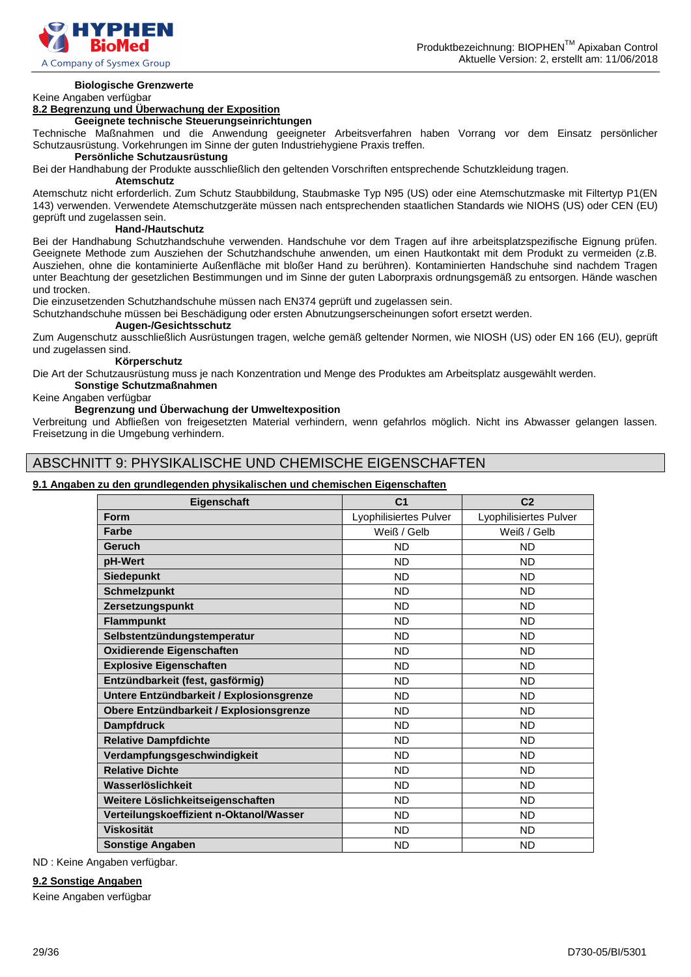

### **Biologische Grenzwerte**

#### Keine Angaben verfügbar

### **8.2 Begrenzung und Überwachung der Exposition**

### **Geeignete technische Steuerungseinrichtungen**

Technische Maßnahmen und die Anwendung geeigneter Arbeitsverfahren haben Vorrang vor dem Einsatz persönlicher Schutzausrüstung. Vorkehrungen im Sinne der guten Industriehygiene Praxis treffen.

### **Persönliche Schutzausrüstung**

Bei der Handhabung der Produkte ausschließlich den geltenden Vorschriften entsprechende Schutzkleidung tragen.

#### **Atemschutz**

Atemschutz nicht erforderlich. Zum Schutz Staubbildung, Staubmaske Typ N95 (US) oder eine Atemschutzmaske mit Filtertyp P1(EN 143) verwenden. Verwendete Atemschutzgeräte müssen nach entsprechenden staatlichen Standards wie NIOHS (US) oder CEN (EU) geprüft und zugelassen sein.

### **Hand-/Hautschutz**

Bei der Handhabung Schutzhandschuhe verwenden. Handschuhe vor dem Tragen auf ihre arbeitsplatzspezifische Eignung prüfen. Geeignete Methode zum Ausziehen der Schutzhandschuhe anwenden, um einen Hautkontakt mit dem Produkt zu vermeiden (z.B. Ausziehen, ohne die kontaminierte Außenfläche mit bloßer Hand zu berühren). Kontaminierten Handschuhe sind nachdem Tragen unter Beachtung der gesetzlichen Bestimmungen und im Sinne der guten Laborpraxis ordnungsgemäß zu entsorgen. Hände waschen und trocken.

Die einzusetzenden Schutzhandschuhe müssen nach EN374 geprüft und zugelassen sein.

Schutzhandschuhe müssen bei Beschädigung oder ersten Abnutzungserscheinungen sofort ersetzt werden.

### **Augen-/Gesichtsschutz**

Zum Augenschutz ausschließlich Ausrüstungen tragen, welche gemäß geltender Normen, wie NIOSH (US) oder EN 166 (EU), geprüft und zugelassen sind.

#### **Körperschutz**

Die Art der Schutzausrüstung muss je nach Konzentration und Menge des Produktes am Arbeitsplatz ausgewählt werden.

### **Sonstige Schutzmaßnahmen**

### Keine Angaben verfügbar

### **Begrenzung und Überwachung der Umweltexposition**

Verbreitung und Abfließen von freigesetzten Material verhindern, wenn gefahrlos möglich. Nicht ins Abwasser gelangen lassen. Freisetzung in die Umgebung verhindern.

### ABSCHNITT 9: PHYSIKALISCHE UND CHEMISCHE EIGENSCHAFTEN

### **9.1 Angaben zu den grundlegenden physikalischen und chemischen Eigenschaften**

| Eigenschaft                              | C <sub>1</sub>         | C <sub>2</sub>         |
|------------------------------------------|------------------------|------------------------|
| <b>Form</b>                              | Lyophilisiertes Pulver | Lyophilisiertes Pulver |
| <b>Farbe</b>                             | Weiß / Gelb            | Weiß / Gelb            |
| Geruch                                   | <b>ND</b>              | <b>ND</b>              |
| pH-Wert                                  | <b>ND</b>              | <b>ND</b>              |
| <b>Siedepunkt</b>                        | <b>ND</b>              | <b>ND</b>              |
| <b>Schmelzpunkt</b>                      | <b>ND</b>              | <b>ND</b>              |
| Zersetzungspunkt                         | <b>ND</b>              | <b>ND</b>              |
| <b>Flammpunkt</b>                        | <b>ND</b>              | ND.                    |
| Selbstentzündungstemperatur              | <b>ND</b>              | ND.                    |
| <b>Oxidierende Eigenschaften</b>         | <b>ND</b>              | <b>ND</b>              |
| <b>Explosive Eigenschaften</b>           | <b>ND</b>              | <b>ND</b>              |
| Entzündbarkeit (fest, gasförmig)         | <b>ND</b>              | ND.                    |
| Untere Entzündbarkeit / Explosionsgrenze | <b>ND</b>              | <b>ND</b>              |
| Obere Entzündbarkeit / Explosionsgrenze  | <b>ND</b>              | <b>ND</b>              |
| <b>Dampfdruck</b>                        | <b>ND</b>              | <b>ND</b>              |
| <b>Relative Dampfdichte</b>              | <b>ND</b>              | <b>ND</b>              |
| Verdampfungsgeschwindigkeit              | <b>ND</b>              | <b>ND</b>              |
| <b>Relative Dichte</b>                   | <b>ND</b>              | <b>ND</b>              |
| Wasserlöslichkeit                        | <b>ND</b>              | ND.                    |
| Weitere Löslichkeitseigenschaften        | <b>ND</b>              | ND.                    |
| Verteilungskoeffizient n-Oktanol/Wasser  | <b>ND</b>              | ND.                    |
| <b>Viskosität</b>                        | ND.                    | ND.                    |
| <b>Sonstige Angaben</b>                  | <b>ND</b>              | <b>ND</b>              |

ND : Keine Angaben verfügbar.

### **9.2 Sonstige Angaben**

Keine Angaben verfügbar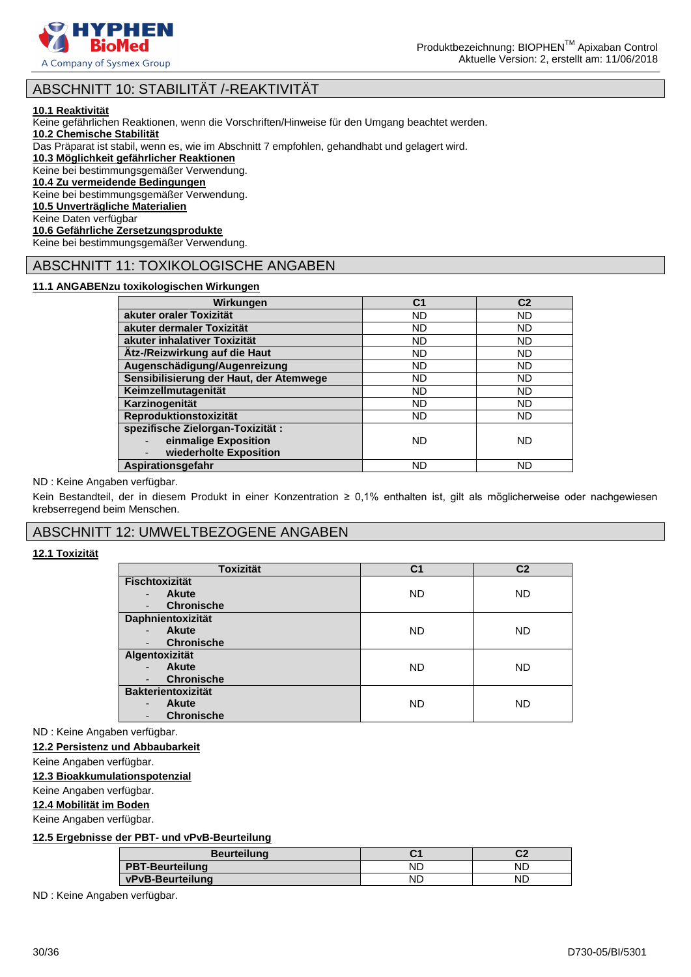

### ABSCHNITT 10: STABILITÄT /-REAKTIVITÄT

### **10.1 Reaktivität**

Keine gefährlichen Reaktionen, wenn die Vorschriften/Hinweise für den Umgang beachtet werden.

**10.2 Chemische Stabilität**

Das Präparat ist stabil, wenn es, wie im Abschnitt 7 empfohlen, gehandhabt und gelagert wird.

**10.3 Möglichkeit gefährlicher Reaktionen**

Keine bei bestimmungsgemäßer Verwendung.

### **10.4 Zu vermeidende Bedingungen**

Keine bei bestimmungsgemäßer Verwendung.

**10.5 Unverträgliche Materialien**

Keine Daten verfügbar

### **10.6 Gefährliche Zersetzungsprodukte**

Keine bei bestimmungsgemäßer Verwendung.

### ABSCHNITT 11: TOXIKOLOGISCHE ANGABEN

### **11.1 ANGABENzu toxikologischen Wirkungen**

| Wirkungen                               | C <sub>1</sub> | C <sub>2</sub> |
|-----------------------------------------|----------------|----------------|
| akuter oraler Toxizität                 | <b>ND</b>      | <b>ND</b>      |
| akuter dermaler Toxizität               | <b>ND</b>      | <b>ND</b>      |
| akuter inhalativer Toxizität            | <b>ND</b>      | ND.            |
| Ätz-/Reizwirkung auf die Haut           | <b>ND</b>      | <b>ND</b>      |
| Augenschädigung/Augenreizung            | <b>ND</b>      | <b>ND</b>      |
| Sensibilisierung der Haut, der Atemwege | <b>ND</b>      | <b>ND</b>      |
| Keimzellmutagenität                     | <b>ND</b>      | <b>ND</b>      |
| Karzinogenität                          | <b>ND</b>      | <b>ND</b>      |
| Reproduktionstoxizität                  | <b>ND</b>      | <b>ND</b>      |
| spezifische Zielorgan-Toxizität:        |                |                |
| einmalige Exposition                    | ND.            | ND             |
| wiederholte Exposition                  |                |                |
| Aspirationsgefahr                       | <b>ND</b>      | ND             |

### ND : Keine Angaben verfügbar.

Kein Bestandteil, der in diesem Produkt in einer Konzentration ≥ 0,1% enthalten ist, gilt als möglicherweise oder nachgewiesen krebserregend beim Menschen.

### ABSCHNITT 12: UMWELTBEZOGENE ANGABEN

### **12.1 Toxizität**

| <b>Toxizität</b>          | C1        | C <sub>2</sub> |
|---------------------------|-----------|----------------|
| Fischtoxizität            |           |                |
| <b>Akute</b><br>-         | <b>ND</b> | <b>ND</b>      |
| <b>Chronische</b><br>-    |           |                |
| Daphnientoxizität         |           |                |
| <b>Akute</b>              | <b>ND</b> | <b>ND</b>      |
| <b>Chronische</b>         |           |                |
| Algentoxizität            |           |                |
| <b>Akute</b><br>-         | ND.       | <b>ND</b>      |
| <b>Chronische</b>         |           |                |
| <b>Bakterientoxizität</b> |           |                |
| <b>Akute</b><br>-         | <b>ND</b> | <b>ND</b>      |
| <b>Chronische</b><br>۰    |           |                |

ND : Keine Angaben verfügbar.

### **12.2 Persistenz und Abbaubarkeit**

Keine Angaben verfügbar.

### **12.3 Bioakkumulationspotenzial**

Keine Angaben verfügbar.

### **12.4 Mobilität im Boden**

Keine Angaben verfügbar.

### **12.5 Ergebnisse der PBT- und vPvB-Beurteilung**

| <b>Beurteilung</b>     |    | r. |
|------------------------|----|----|
| <b>PBT-Beurteilung</b> | ΝC | ND |
| vPvB-Beurteilung       | ΝC | ΝC |

ND : Keine Angaben verfügbar.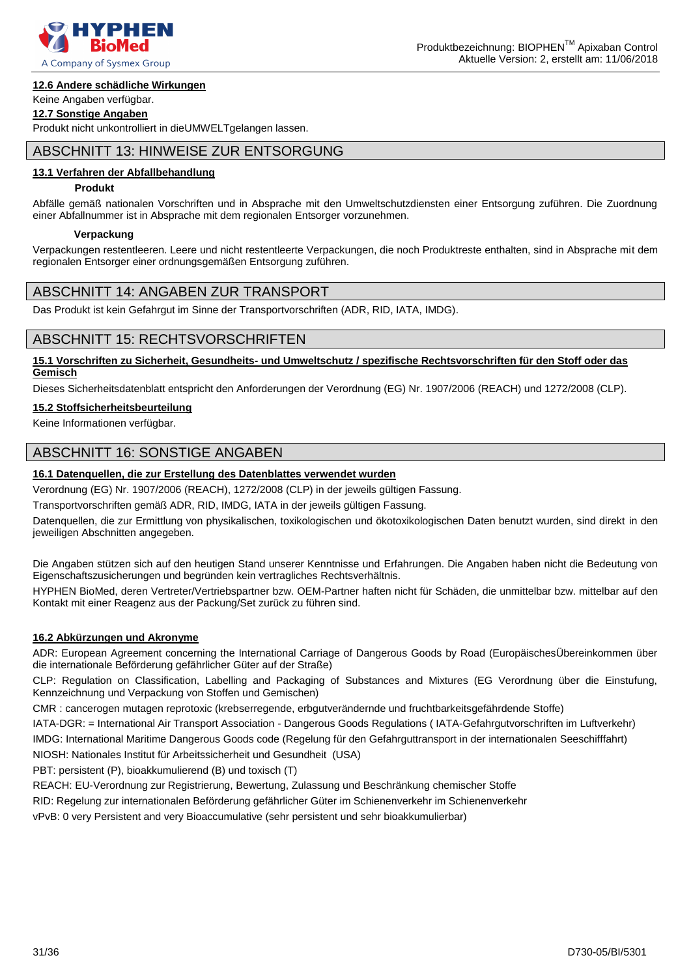

### Keine Angaben verfügbar.

**12.7 Sonstige Angaben**

Produkt nicht unkontrolliert in dieUMWELTgelangen lassen.

### ABSCHNITT 13: HINWEISE ZUR ENTSORGUNG

### **13.1 Verfahren der Abfallbehandlung**

### **Produkt**

Abfälle gemäß nationalen Vorschriften und in Absprache mit den Umweltschutzdiensten einer Entsorgung zuführen. Die Zuordnung einer Abfallnummer ist in Absprache mit dem regionalen Entsorger vorzunehmen.

### **Verpackung**

Verpackungen restentleeren. Leere und nicht restentleerte Verpackungen, die noch Produktreste enthalten, sind in Absprache mit dem regionalen Entsorger einer ordnungsgemäßen Entsorgung zuführen.

### ABSCHNITT 14: ANGABEN ZUR TRANSPORT

Das Produkt ist kein Gefahrgut im Sinne der Transportvorschriften (ADR, RID, IATA, IMDG).

### ABSCHNITT 15: RECHTSVORSCHRIFTEN

### **15.1 Vorschriften zu Sicherheit, Gesundheits- und Umweltschutz / spezifische Rechtsvorschriften für den Stoff oder das Gemisch**

Dieses Sicherheitsdatenblatt entspricht den Anforderungen der Verordnung (EG) Nr. 1907/2006 (REACH) und 1272/2008 (CLP).

### **15.2 Stoffsicherheitsbeurteilung**

Keine Informationen verfügbar.

### ABSCHNITT 16: SONSTIGE ANGABEN

### **16.1 Datenquellen, die zur Erstellung des Datenblattes verwendet wurden**

Verordnung (EG) Nr. 1907/2006 (REACH), 1272/2008 (CLP) in der jeweils gültigen Fassung.

Transportvorschriften gemäß ADR, RID, IMDG, IATA in der jeweils gültigen Fassung.

Datenquellen, die zur Ermittlung von physikalischen, toxikologischen und ökotoxikologischen Daten benutzt wurden, sind direkt in den jeweiligen Abschnitten angegeben.

Die Angaben stützen sich auf den heutigen Stand unserer Kenntnisse und Erfahrungen. Die Angaben haben nicht die Bedeutung von Eigenschaftszusicherungen und begründen kein vertragliches Rechtsverhältnis.

HYPHEN BioMed, deren Vertreter/Vertriebspartner bzw. OEM-Partner haften nicht für Schäden, die unmittelbar bzw. mittelbar auf den Kontakt mit einer Reagenz aus der Packung/Set zurück zu führen sind.

### **16.2 Abkürzungen und Akronyme**

ADR: European Agreement concerning the International Carriage of Dangerous Goods by Road (EuropäischesÜbereinkommen über die internationale Beförderung gefährlicher Güter auf der Straße)

CLP: Regulation on Classification, Labelling and Packaging of Substances and Mixtures (EG Verordnung über die Einstufung, Kennzeichnung und Verpackung von Stoffen und Gemischen)

CMR : cancerogen mutagen reprotoxic (krebserregende, erbgutverändernde und fruchtbarkeitsgefährdende Stoffe)

IATA-DGR: = International Air Transport Association - Dangerous Goods Regulations ( IATA-Gefahrgutvorschriften im Luftverkehr)

IMDG: International Maritime Dangerous Goods code (Regelung für den Gefahrguttransport in der internationalen Seeschifffahrt)

NIOSH: Nationales Institut für Arbeitssicherheit und Gesundheit (USA)

PBT: persistent (P), bioakkumulierend (B) und toxisch (T)

REACH: EU-Verordnung zur Registrierung, Bewertung, Zulassung und Beschränkung chemischer Stoffe

RID: Regelung zur internationalen Beförderung gefährlicher Güter im Schienenverkehr im Schienenverkehr

vPvB: 0 very Persistent and very Bioaccumulative (sehr persistent und sehr bioakkumulierbar)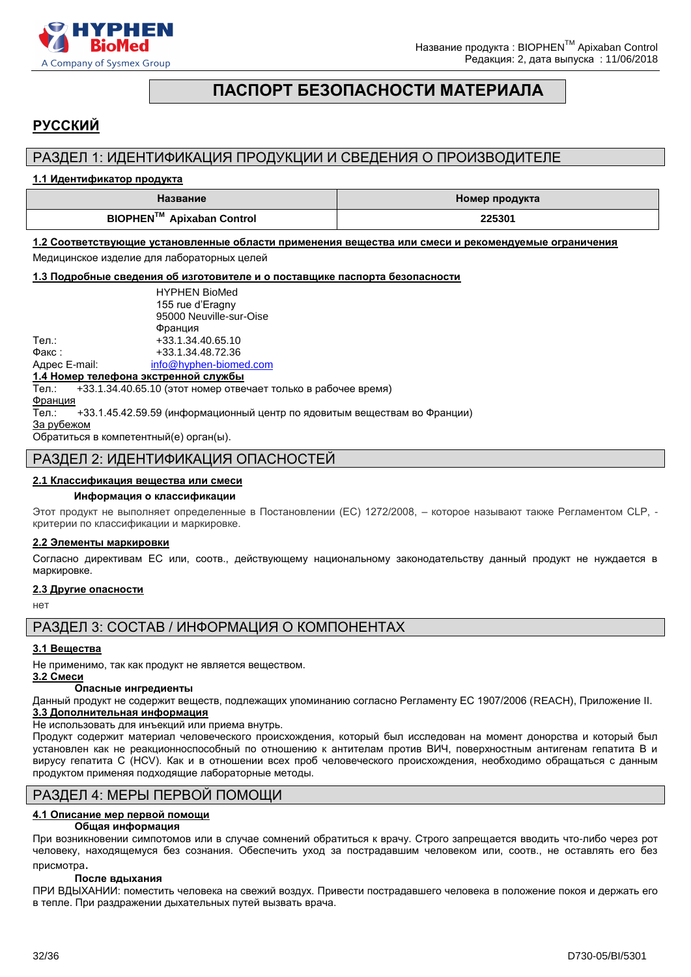

### **ПАСПОРТ БЕЗОПАСНОСТИ МАТЕРИАЛА**

### <span id="page-31-0"></span>**РУССКИЙ**

### РАЗДЕЛ 1: ИДЕНТИФИКАЦИЯ ПРОДУКЦИИ И СВЕДЕНИЯ О ПРОИЗВОДИТЕЛЕ

### **1.1 Идентификатор продукта**

| Название                              | Номер продукта |
|---------------------------------------|----------------|
| BIOPHEN <sup>™</sup> Apixaban Control | 225301         |

### **1.2 Соответствующие установленные области применения вещества или смеси и рекомендуемые ограничения**  Медицинское изделие для лабораторных целей

### **1.3 Подробные сведения об изготовителе и о поставщике паспорта безопасности**

|               | <b>HYPHEN BioMed</b>    |
|---------------|-------------------------|
|               | 155 rue d'Eragny        |
|               | 95000 Neuville-sur-Oise |
|               | Франция                 |
| Тел.:         | +33.1.34.40.65.10       |
| Факс:         | +33.1.34.48.72.36       |
| Адрес E-mail: | info@hyphen-biomed.com  |

#### **1.4 Номер телефона экстренной службы**

Тел.: +33.1.34.40.65.10 (этот номер отвечает только в рабочее время)

Франция

Тел.: +33.1.45.42.59.59 (информационный центр по ядовитым веществам во Франции)

За рубежом

Обратиться в компетентный(е) орган(ы).

### РАЗДЕЛ 2: ИДЕНТИФИКАЦИЯ ОПАСНОСТЕЙ

### **2.1 Классификация вещества или смеси**

### **Информация о классификации**

Этот продукт не выполняет определенные в Постановлении (EС) 1272/2008, – которое называют также Регламентом CLP, критерии по классификации и маркировке.

### **2.2 Элементы маркировки**

Согласно директивам ЕС или, соотв., действующему национальному законодательству данный продукт не нуждается в маркировке.

### **2.3 Другие опасности**

нет

РАЗДЕЛ 3: СОСТАВ / ИНФОРМАЦИЯ О КОМПОНЕНТАХ

### **3.1 Вещества**

Не применимо, так как продукт не является веществом.

#### **3.2 Смеси Опасные ингредиенты**

Данный продукт не содержит веществ, подлежащих упоминанию согласно Регламенту ЕС 1907/2006 (REACH), Приложение II. **3.3 Дополнительная информация**

Не использовать для инъекций или приема внутрь.

Продукт содержит материал человеческого происхождения, который был исследован на момент донорства и который был установлен как не реакционноспособный по отношению к антителам против ВИЧ, поверхностным антигенам гепатита B и вирусу гепатита C (HCV). Как и в отношении всех проб человеческого происхождения, необходимо обращаться с данным продуктом применяя подходящие лабораторные методы.

### РАЗДЕЛ 4: МЕРЫ ПЕРВОЙ ПОМОЩИ

### **4.1 Описание мер первой помощи**

### **Общая информация**

При возникновении cимпотомов или в случае сомнений обратиться к врачу. Строго запрещается вводить что-либо через рот человеку, находящемуся без сознания. Обеспечить уход за пострадавшим человеком или, соотв., не оставлять его без присмотра.

### **После вдыхания**

ПРИ ВДЫХАНИИ: поместить человека на свежий воздух. Привести пострадавшего человека в положение покоя и держать его в тепле. При раздражении дыхательных путей вызвать врача.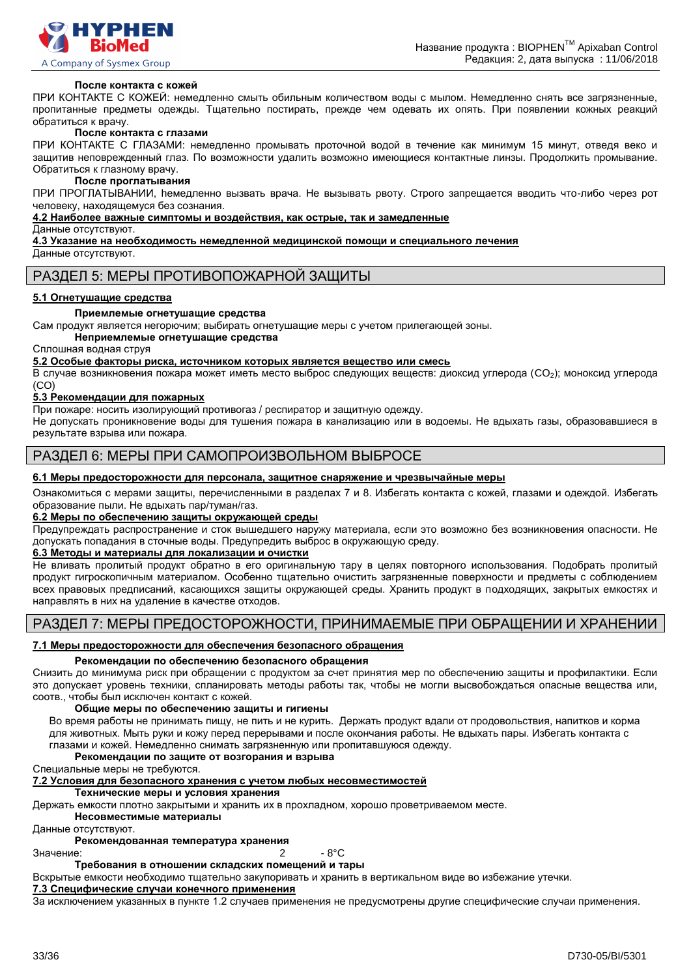

### **После контакта с кожей**

ПРИ КОНТАКТЕ С КОЖЕЙ: немедленно смыть обильным количеством воды с мылом. Немедленно снять все загрязненные, пропитанные предметы одежды. Тщательно постирать, прежде чем одевать их опять. При появлении кожных реакций обратиться к врачу.

#### **После контакта с глазами**

ПРИ КОНТАКТЕ С ГЛАЗАМИ: немедленно промывать проточной водой в течение как минимум 15 минут, отведя веко и защитив неповрежденный глаз. По возможности удалить возможно имеющиеся контактные линзы. Продолжить промывание. Обратиться к глазному врачу.

#### **После проглатывания**

ПРИ ПРОГЛАТЫВАНИИ, hемедленно вызвать врача. Не вызывать рвоту. Строго запрещается вводить что-либо через рот человеку, находящемуся без сознания.

#### **4.2 Наиболее важные симптомы и воздействия, как острые, так и замедленные**

Данные отсутствуют.

**4.3 Указание на необходимость немедленной медицинской помощи и специального лечения**

Данные отсутствуют.

### РАЗДЕЛ 5: МЕРЫ ПРОТИВОПОЖАРНОЙ ЗАЩИТЫ

### **5.1 Огнетушащие средства**

### **Приемлемые огнетушащие средства**

Сам продукт является негорючим; выбирать огнетушащие меры с учетом прилегающей зоны.

### **Неприемлемые огнетушащие средства**

Сплошная водная струя

**5.2 Особые факторы риска, источником которых является вещество или смесь**

В случае возникновения пожара может иметь место выброс следующих веществ: диоксид углерода (CO2); моноксид углерода (CO)

### **5.3 Рекомендации для пожарных**

При пожаре: носить изолирующий противогаз / респиратор и защитную одежду.

Не допускать проникновение воды для тушения пожара в канализацию или в водоемы. Не вдыхать газы, образовавшиеся в результате взрыва или пожара.

### РАЗДЕЛ 6: МЕРЫ ПРИ САМОПРОИЗВОЛЬНОМ ВЫБРОСЕ

#### **6.1 Меры предосторожности для персонала, защитное снаряжение и чрезвычайные меры**

Ознакомиться с мерами защиты, перечисленными в разделах 7 и 8. Избегать контакта с кожей, глазами и одеждой. Избегать образование пыли. Не вдыхать пар/туман/газ.

### **6.2 Меры по обеспечению защиты окружающей среды**

Предупреждать распространение и сток вышедшего наружу материала, если это возможно без возникновения опасности. Не допускать попадания в сточные воды. Предупредить выброс в окружающую среду.

### **6.3 Методы и материалы для локализации и очистки**

Не вливать пролитый продукт обратно в его оригинальную тару в целях повторного использования. Подобрать пролитый продукт гигроскопичным материалом. Особенно тщательно очистить загрязненные поверхности и предметы с соблюдением всех правовых предписаний, касающихся защиты окружающей среды. Хранить продукт в подходящих, закрытых емкостях и направлять в них на удаление в качестве отходов.

### РАЗДЕЛ 7: МЕРЫ ПРЕДОСТОРОЖНОСТИ, ПРИНИМАЕМЫЕ ПРИ ОБРАЩЕНИИ И ХРАНЕНИИ

### **7.1 Меры предосторожности для обеспечения безопасного обращения**

### **Рекомендации по обеспечению безопасного обращения**

Снизить до минимума риск при обращении с продуктом за счет принятия мер по обеспечению защиты и профилактики. Если это допускает уровень техники, спланировать методы работы так, чтобы не могли высвобождаться опасные вещества или, соотв., чтобы был исключен контакт с кожей.

#### **Общие меры по обеспечению защиты и гигиены**

Во время работы не принимать пищу, не пить и не курить. Держать продукт вдали от продовольствия, напитков и корма для животных. Мыть руки и кожу перед перерывами и после окончания работы. Не вдыхать пары. Избегать контакта с глазами и кожей. Немедленно снимать загрязненную или пропитавшуюся одежду.

### **Рекомендации по защите от возгорания и взрыва**

Специальные меры не требуются.

### **7.2 Условия для безопасного хранения с учетом любых несовместимостей**

**Технические меры и условия хранения**

Держать емкости плотно закрытыми и хранить их в прохладном, хорошо проветриваемом месте.

**Несовместимые материалы**

Данные отсутствуют.

### **Рекомендованная температура хранения**

Значение: 2 - 8°C

**Требования в отношении складских помещений и тары**

Вскрытые емкости необходимо тщательно закупоривать и хранить в вертикальном виде во избежание утечки.

### **7.3 Специфические случаи конечного применения**

За исключением указанных в пункте 1.2 случаев применения не предусмотрены другие специфические случаи применения.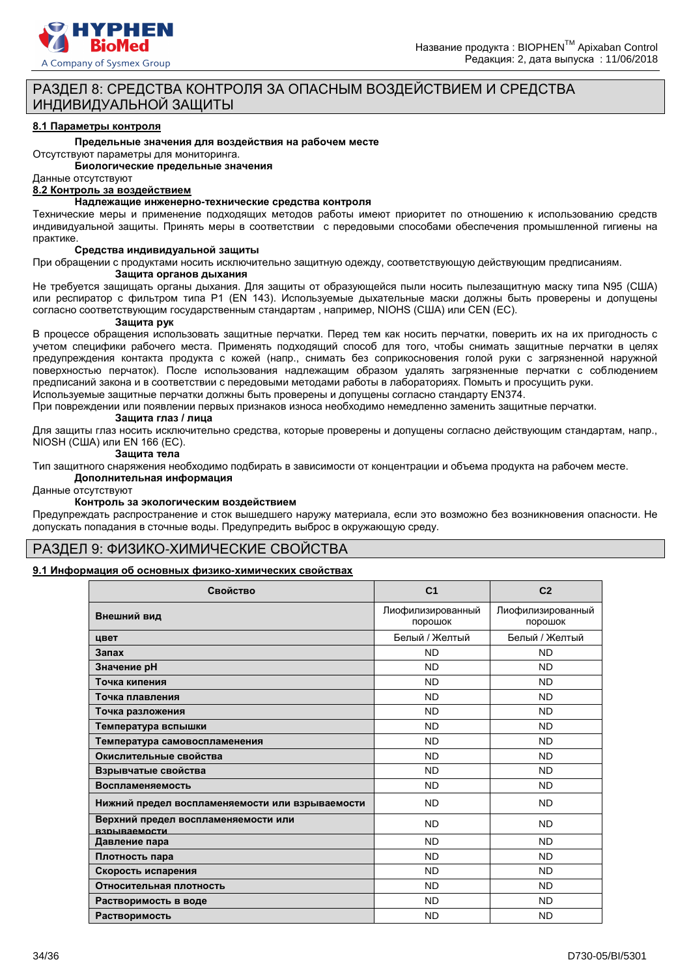

### РАЗДЕЛ 8: СРЕДСТВА КОНТРОЛЯ ЗА ОПАСНЫМ ВОЗДЕЙСТВИЕМ И СРЕДСТВА ИНДИВИДУАЛЬНОЙ ЗАЩИТЫ

#### **8.1 Параметры контроля**

#### **Предельные значения для воздействия на рабочем месте**

Отсутствуют параметры для мониторинга.

**Биологические предельные значения**

### Данные отсутствуют

**8.2 Контроль за воздействием**

#### **Надлежащие инженерно-технические средства контроля**

Технические меры и применение подходящих методов работы имеют приоритет по отношению к использованию средств индивидуальной защиты. Принять меры в соответствии с передовыми способами обеспечения промышленной гигиены на практике.

#### **Средства индивидуальной защиты**

При обращении с продуктами носить исключительно защитную одежду, соответствующую действующим предписаниям. **Защита органов дыхания**

Не требуется защищать органы дыхания. Для защиты от образующейся пыли носить пылезащитную маску типа N95 (США) или респиратор с фильтром типа P1 (EN 143). Используемые дыхательные маски должны быть проверены и допущены согласно соответствующим государственным стандартам , например, NIOHS (США) или CEN (EС).

#### **Защита рук**

В процессе обращения использовать защитные перчатки. Перед тем как носить перчатки, поверить их на их пригодность с учетом специфики рабочего места. Применять подходящий способ для того, чтобы снимать защитные перчатки в целях предупреждения контакта продукта с кожей (напр., снимать без соприкосновения голой руки с загрязненной наружной поверхностью перчаток). После использования надлежащим образом удалять загрязненные перчатки с соблюдением предписаний закона и в соответствии с передовыми методами работы в лабораториях. Помыть и просущить руки.

Используемые защитные перчатки должны быть проверены и допущены согласно стандарту EN374.

При повреждении или появлении первых признаков износа необходимо немедленно заменить защитные перчатки.

#### **Защита глаз / лица**

Для защиты глаз носить исключительно средства, которые проверены и допущены согласно действующим стандартам, напр., NIOSH (США) или EN 166 (EС).

#### **Защита тела**

Тип защитного снаряжения необходимо подбирать в зависимости от концентрации и объема продукта на рабочем месте.

### **Дополнительная информация**

Данные отсутствуют

### **Контроль за экологическим воздействием**

Предупреждать распространение и сток вышедшего наружу материала, если это возможно без возникновения опасности. Не допускать попадания в сточные воды. Предупредить выброс в окружающую среду.

### РАЗДЕЛ 9: ФИЗИКО-ХИМИЧЕСКИЕ СВОЙСТВА

### **9.1 Информация об основных физико-химических свойствах**

| Свойство                                            | C <sub>1</sub>               | C <sub>2</sub>               |
|-----------------------------------------------------|------------------------------|------------------------------|
| Внешний вид                                         | Лиофилизированный<br>порошок | Лиофилизированный<br>порошок |
| цвет                                                | Белый / Желтый               | Белый / Желтый               |
| Запах                                               | <b>ND</b>                    | <b>ND</b>                    |
| Значение рН                                         | <b>ND</b>                    | <b>ND</b>                    |
| Точка кипения                                       | <b>ND</b>                    | <b>ND</b>                    |
| Точка плавления                                     | <b>ND</b>                    | <b>ND</b>                    |
| Точка разложения                                    | <b>ND</b>                    | <b>ND</b>                    |
| Температура вспышки                                 | <b>ND</b>                    | <b>ND</b>                    |
| Температура самовоспламенения                       | <b>ND</b>                    | <b>ND</b>                    |
| Окислительные свойства                              | <b>ND</b>                    | <b>ND</b>                    |
| Взрывчатые свойства                                 | <b>ND</b>                    | <b>ND</b>                    |
| Воспламеняемость                                    | <b>ND</b>                    | <b>ND</b>                    |
| Нижний предел воспламеняемости или взрываемости     | <b>ND</b>                    | <b>ND</b>                    |
| Верхний предел воспламеняемости или<br>взрываемости | <b>ND</b>                    | <b>ND</b>                    |
| Давление пара                                       | <b>ND</b>                    | <b>ND</b>                    |
| Плотность пара                                      | <b>ND</b>                    | <b>ND</b>                    |
| Скорость испарения                                  | <b>ND</b>                    | <b>ND</b>                    |
| Относительная плотность                             | <b>ND</b>                    | <b>ND</b>                    |
| Растворимость в воде                                | <b>ND</b>                    | <b>ND</b>                    |
| Растворимость                                       | <b>ND</b>                    | <b>ND</b>                    |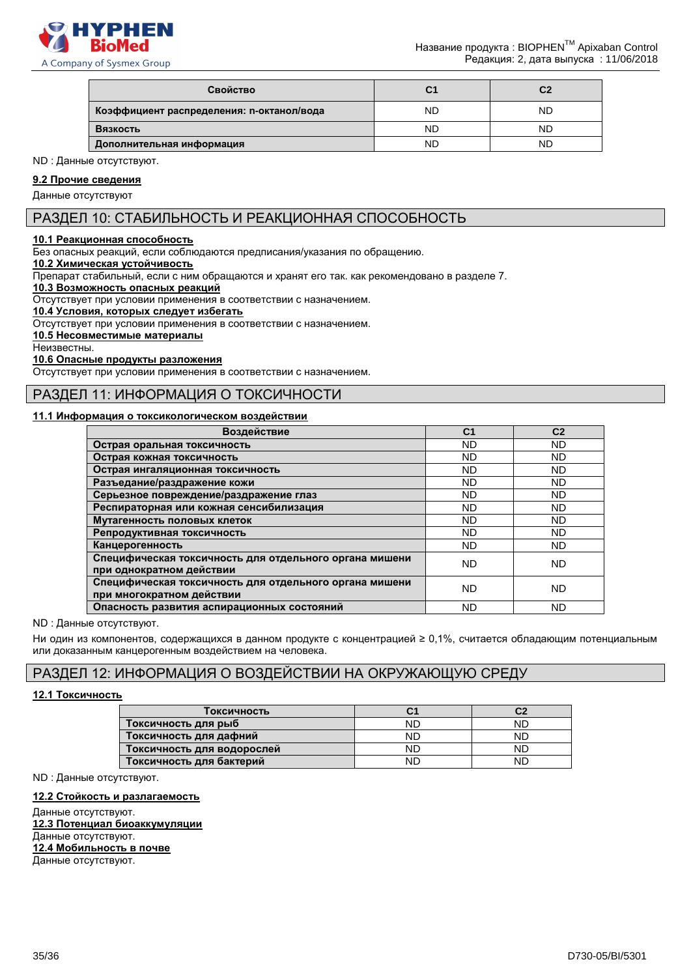

| Свойство                                  | C1 | C2 |
|-------------------------------------------|----|----|
| Коэффициент распределения: n-октанол/вода | ND | ND |
| Вязкость                                  | ND | ND |
| Дополнительная информация                 | ND | ND |

ND : Данные отсутствуют.

### **9.2 Прочие сведения**

Данные отсутствуют

### РАЗДЕЛ 10: СТАБИЛЬНОСТЬ И РЕАКЦИОННАЯ СПОСОБНОСТЬ

### **10.1 Реакционная способность**

Без опасных реакций, если соблюдаются предписания/указания по обращению.

### **10.2 Химическая устойчивость**

Препарат стабильный, если с ним обращаются и хранят его так. как рекомендовано в разделе 7.

### **10.3 Возможность опасных реакций**

Отсутствует при условии применения в соответствии с назначением.

**10.4 Условия, которых следует избегать**

Отсутствует при условии применения в соответствии с назначением.

### **10.5 Несовместимые материалы**

Неизвестны.

#### **10.6 Опасные продукты разложения**

Отсутствует при условии применения в соответствии с назначением.

### РАЗДЕЛ 11: ИНФОРМАЦИЯ О ТОКСИЧНОСТИ

### **11.1 Информация о токсикологическом воздействии**

| Воздействие                                                                         | C <sub>1</sub> | C <sub>2</sub> |
|-------------------------------------------------------------------------------------|----------------|----------------|
| Острая оральная токсичность                                                         | <b>ND</b>      | <b>ND</b>      |
| Острая кожная токсичность                                                           | <b>ND</b>      | <b>ND</b>      |
| Острая ингаляционная токсичность                                                    | <b>ND</b>      | ND             |
| Разъедание/раздражение кожи                                                         | <b>ND</b>      | ND             |
| Серьезное повреждение/раздражение глаз                                              | ND.            | <b>ND</b>      |
| Респираторная или кожная сенсибилизация                                             | <b>ND</b>      | ND             |
| Мутагенность половых клеток                                                         | ND.            | <b>ND</b>      |
| Репродуктивная токсичность                                                          | <b>ND</b>      | ND             |
| Канцерогенность                                                                     | <b>ND</b>      | ND             |
| Специфическая токсичность для отдельного органа мишени<br>при однократном действии  | <b>ND</b>      | ND             |
| Специфическая токсичность для отдельного органа мишени<br>при многократном действии | ND.            | <b>ND</b>      |
| Опасность развития аспирационных состояний                                          | ND.            | <b>ND</b>      |

#### ND : Данные отсутствуют.

Ни один из компонентов, содержащихся в данном продукте с концентрацией ≥ 0,1%, считается обладающим потенциальным или доказанным канцерогенным воздействием на человека.

### РАЗДЕЛ 12: ИНФОРМАЦИЯ О ВОЗДЕЙСТВИИ НА ОКРУЖАЮЩУЮ СРЕДУ

### **12.1 Токсичность**

| Токсичность                | С1 | C2 |
|----------------------------|----|----|
| Токсичность для рыб        | ND | ND |
| Токсичность для дафний     | ND | ND |
| Токсичность для водорослей | ΝD | ND |
| Токсичность для бактерий   | ND | ND |

ND : Данные отсутствуют.

### **12.2 Стойкость и разлагаемость**

Данные отсутствуют. **12.3 Потенциал биоаккумуляции** Данные отсутствуют. **12.4 Мобильность в почве** Данные отсутствуют.